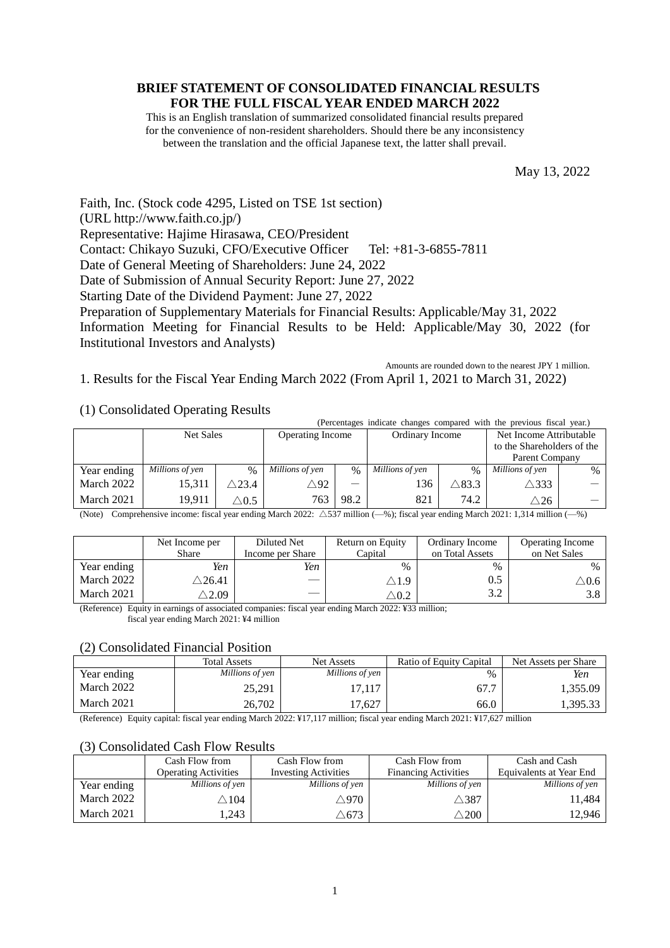# **BRIEF STATEMENT OF CONSOLIDATED FINANCIAL RESULTS FOR THE FULL FISCAL YEAR ENDED MARCH 2022**

This is an English translation of summarized consolidated financial results prepared for the convenience of non-resident shareholders. Should there be any inconsistency between the translation and the official Japanese text, the latter shall prevail.

May 13, 2022

Faith, Inc. (Stock code 4295, Listed on TSE 1st section) (URL http://www.faith.co.jp/) Representative: Hajime Hirasawa, CEO/President Contact: Chikayo Suzuki, CFO/Executive Officer Tel: +81-3-6855-7811 Date of General Meeting of Shareholders: June 24, 2022 Date of Submission of Annual Security Report: June 27, 2022 Starting Date of the Dividend Payment: June 27, 2022 Preparation of Supplementary Materials for Financial Results: Applicable/May 31, 2022 Information Meeting for Financial Results to be Held: Applicable/May 30, 2022 (for Institutional Investors and Analysts)

Amounts are rounded down to the nearest JPY 1 million.

1. Results for the Fiscal Year Ending March 2022 (From April 1, 2021 to March 31, 2022)

# (1) Consolidated Operating Results

|                                                                                           |                 |                 |                         |               | (Percentages indicate changes compared with the previous fiscal year.) |                            |                         |      |
|-------------------------------------------------------------------------------------------|-----------------|-----------------|-------------------------|---------------|------------------------------------------------------------------------|----------------------------|-------------------------|------|
|                                                                                           | Net Sales       |                 | <b>Operating Income</b> |               | Ordinary Income                                                        |                            | Net Income Attributable |      |
|                                                                                           |                 |                 |                         |               |                                                                        | to the Shareholders of the |                         |      |
|                                                                                           |                 |                 |                         |               |                                                                        |                            | Parent Company          |      |
| Year ending                                                                               | Millions of yen | $\frac{0}{0}$   | Millions of yen         | $\frac{0}{0}$ | Millions of yen                                                        | $\%$                       | Millions of yen         | $\%$ |
| March 2022                                                                                | 15,311          | $\wedge$ 23.4   | $\triangle 92$          |               | 136                                                                    | $\triangle$ 83.3           | $\triangle$ 333         |      |
| March 2021                                                                                | 19.911          | $\triangle 0.5$ | 763                     | 98.2          | 821                                                                    | 74.2                       | $\triangle 26$          |      |
| $\cdots$<br>$1.0000 \pm 0.707$<br>$\sim$ $\sim$<br>$\mathbf{A}$<br>$\sim$<br>$\mathbf{r}$ |                 |                 |                         |               |                                                                        |                            |                         |      |

(Note) Comprehensive income: fiscal year ending March 2022: △537 million (—%); fiscal year ending March 2021: 1,314 million (—%)

|             | Net Income per<br>Share | Diluted Net<br>Income per Share | Return on Equity<br>Capital              | Ordinary Income<br>on Total Assets | Operating Income<br>on Net Sales |
|-------------|-------------------------|---------------------------------|------------------------------------------|------------------------------------|----------------------------------|
| Year ending | Yen                     | Yen                             | $\frac{0}{0}$                            | $\frac{0}{0}$                      | $\%$                             |
| March 2022  | $\triangle$ 26.41       |                                 | $\triangle$ 1.9                          | Օ.5                                | $\triangle 0.6$                  |
| March 2021  | $\triangle 2.09$        | $\overline{\phantom{a}}$        | $^{\scriptscriptstyle \triangle \, 0.2}$ | ے . د                              | 3.8                              |

(Reference) Equity in earnings of associated companies: fiscal year ending March 2022: ¥33 million;

fiscal year ending March 2021: ¥4 million

# (2) Consolidated Financial Position

|             | <b>Total Assets</b> | <b>Net Assets</b> | Ratio of Equity Capital | Net Assets per Share |
|-------------|---------------------|-------------------|-------------------------|----------------------|
| Year ending | Millions of yen     | Millions of yen   | $\%$                    | Yen                  |
| March 2022  | 25,291              | 17.117            | 67.7                    | 1,355.09             |
| March 2021  | 26,702              | 17.627            | 66.0                    | 1,395.33             |

(Reference) Equity capital: fiscal year ending March 2022: ¥17,117 million; fiscal year ending March 2021: ¥17,627 million

# (3) Consolidated Cash Flow Results

|             | Cash Flow from              | Cash Flow from              | Cash Flow from              | Cash and Cash           |
|-------------|-----------------------------|-----------------------------|-----------------------------|-------------------------|
|             | <b>Operating Activities</b> | <b>Investing Activities</b> | <b>Financing Activities</b> | Equivalents at Year End |
| Year ending | Millions of yen             | Millions of yen             | Millions of yen             | Millions of yen         |
| March 2022  | $\triangle 104$             | $\triangle 970$             | $\triangle 387$             | 11,484                  |
| March 2021  | ,243                        | $\triangle 673$             | $\triangle 200$             | 12,946                  |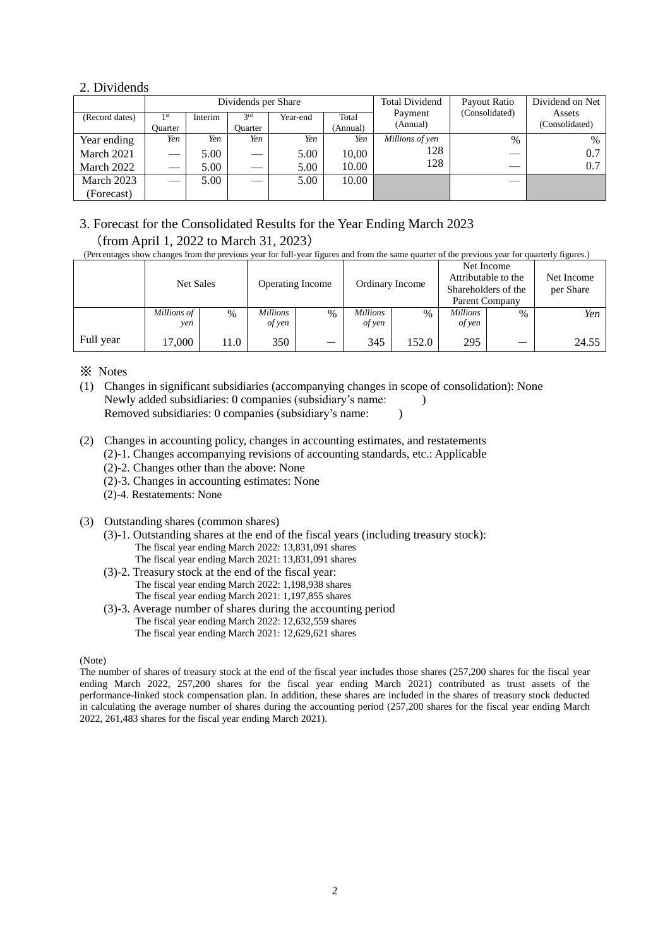# 2. Dividends

|                |                |         | Dividends per Share |          |          | <b>Total Dividend</b> | Payout Ratio   | Dividend on Net |
|----------------|----------------|---------|---------------------|----------|----------|-----------------------|----------------|-----------------|
| (Record dates) | 1 st           | Interim | 3 <sup>rd</sup>     | Year-end | Total    | Payment               | (Consolidated) | Assets          |
|                | <b>Duarter</b> |         | Ouarter             |          | (Annual) | (Annual)              |                | (Consolidated)  |
| Year ending    | Yen            | Yen     | Yen                 | Yen      | Yen      | Millions of yen       | $\%$           | $\frac{0}{0}$   |
| March 2021     |                | 5.00    |                     | 5.00     | 10,00    | 128                   |                | 0.7             |
| March 2022     |                | 5.00    |                     | 5.00     | 10.00    | 128                   |                | 0.7             |
| March 2023     |                | 5.00    |                     | 5.00     | 10.00    |                       | ___            |                 |
| (Forecast)     |                |         |                     |          |          |                       |                |                 |

# 3. Forecast for the Consolidated Results for the Year Ending March 2023 (from April 1, 2022 to March 31, 2023)

(Percentages show changes from the previous year for full-year figures and from the same quarter of the previous year for quarterly figures.)

|           | Net Sales          |      | <b>Operating Income</b>   |                          | Ordinary Income           |               | Net Income<br>Attributable to the<br>Shareholders of the<br>Parent Company |      | Net Income<br>per Share |
|-----------|--------------------|------|---------------------------|--------------------------|---------------------------|---------------|----------------------------------------------------------------------------|------|-------------------------|
|           | Millions of<br>ven | $\%$ | <i>Millions</i><br>of yen | $\%$                     | <i>Millions</i><br>of yen | $\frac{0}{0}$ | <b>Millions</b><br>of yen                                                  | $\%$ | Yen                     |
| Full year | 17,000             | 11.0 | 350                       | $\overline{\phantom{0}}$ | 345                       | 152.0         | 295                                                                        |      | 24.55                   |

※ Notes

- (1) Changes in significant subsidiaries (accompanying changes in scope of consolidation): None Newly added subsidiaries: 0 companies (subsidiary's name: ) Removed subsidiaries: 0 companies (subsidiary's name: )
- (2) Changes in accounting policy, changes in accounting estimates, and restatements
	- (2)-1. Changes accompanying revisions of accounting standards, etc.: Applicable
		- (2)-2. Changes other than the above: None
		- (2)-3. Changes in accounting estimates: None
		- (2)-4. Restatements: None
- (3) Outstanding shares (common shares)
	- (3)-1. Outstanding shares at the end of the fiscal years (including treasury stock): The fiscal year ending March 2022: 13,831,091 shares The fiscal year ending March 2021: 13,831,091 shares
	- (3)-2. Treasury stock at the end of the fiscal year: The fiscal year ending March 2022: 1,198,938 shares The fiscal year ending March 2021: 1,197,855 shares
	- (3)-3. Average number of shares during the accounting period The fiscal year ending March 2022: 12,632,559 shares The fiscal year ending March 2021: 12,629,621 shares

(Note)

The number of shares of treasury stock at the end of the fiscal year includes those shares (257,200 shares for the fiscal year ending March 2022, 257,200 shares for the fiscal year ending March 2021) contributed as trust assets of the performance-linked stock compensation plan. In addition, these shares are included in the shares of treasury stock deducted in calculating the average number of shares during the accounting period (257,200 shares for the fiscal year ending March 2022, 261,483 shares for the fiscal year ending March 2021).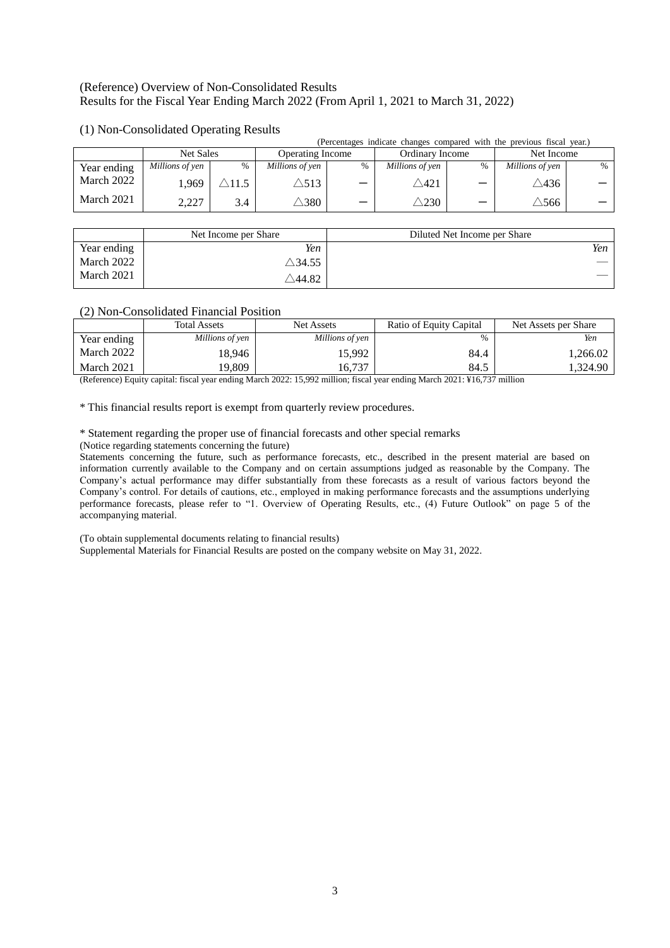# (Reference) Overview of Non-Consolidated Results Results for the Fiscal Year Ending March 2022 (From April 1, 2021 to March 31, 2022)

|             |                 |       |                         |                          |                 |               | (Percentages indicate changes compared with the previous fiscal year.) |               |
|-------------|-----------------|-------|-------------------------|--------------------------|-----------------|---------------|------------------------------------------------------------------------|---------------|
|             | Net Sales       |       | <b>Operating Income</b> |                          | Ordinary Income |               | Net Income                                                             |               |
| Year ending | Millions of yen | $\%$  | Millions of yen         | %                        | Millions of yen | $\frac{0}{0}$ | Millions of yen                                                        | $\frac{0}{0}$ |
| March 2022  | 1.969           | .11.5 | $\triangle$ 513         | $\overline{\phantom{0}}$ | $\triangle 421$ |               | $\triangle 436$                                                        |               |
| March 2021  | 2,227           | 3.4   | $^{\tiny\triangle}380$  |                          | .230            | -             | $\triangle 566$ '                                                      |               |

# (1) Non-Consolidated Operating Results

|             | Net Income per Share         | Diluted Net Income per Share |
|-------------|------------------------------|------------------------------|
| Year ending | Yen                          | Yen                          |
| March 2022  | $\triangle$ 34.55 $^{\circ}$ |                              |
| March 2021  | $\triangle$ 44.82            |                              |

# (2) Non-Consolidated Financial Position

|             | <b>Total Assets</b> | <b>Net Assets</b> | Ratio of Equity Capital | Net Assets per Share |
|-------------|---------------------|-------------------|-------------------------|----------------------|
| Year ending | Millions of yen     | Millions of yen   | $\frac{0}{0}$           | Yen                  |
| March 2022  | 18.946              | 15.992            | 84.4                    | 1,266.02             |
| March 2021  | 19,809              | 16.737            | 84.5                    | 1.324.90             |

(Reference) Equity capital: fiscal year ending March 2022: 15,992 million; fiscal year ending March 2021: ¥16,737 million

\* This financial results report is exempt from quarterly review procedures.

\* Statement regarding the proper use of financial forecasts and other special remarks

(Notice regarding statements concerning the future)

Statements concerning the future, such as performance forecasts, etc., described in the present material are based on information currently available to the Company and on certain assumptions judged as reasonable by the Company. The Company's actual performance may differ substantially from these forecasts as a result of various factors beyond the Company's control. For details of cautions, etc., employed in making performance forecasts and the assumptions underlying performance forecasts, please refer to "1. Overview of Operating Results, etc., (4) Future Outlook" on page 5 of the accompanying material.

(To obtain supplemental documents relating to financial results)

Supplemental Materials for Financial Results are posted on the company website on May 31, 2022.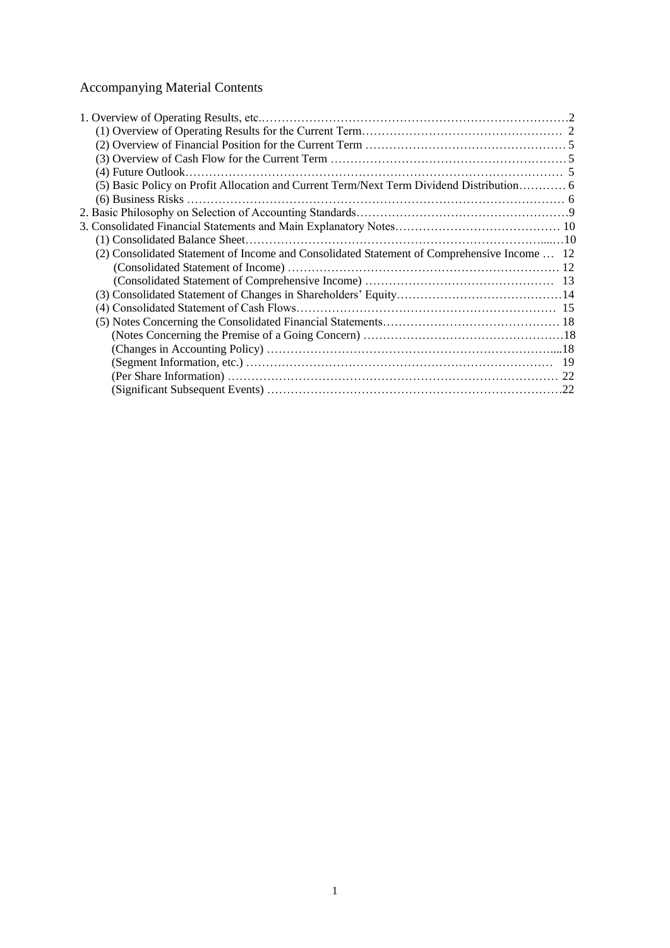# Accompanying Material Contents

| (5) Basic Policy on Profit Allocation and Current Term/Next Term Dividend Distribution 6    |  |
|---------------------------------------------------------------------------------------------|--|
|                                                                                             |  |
|                                                                                             |  |
|                                                                                             |  |
|                                                                                             |  |
| (2) Consolidated Statement of Income and Consolidated Statement of Comprehensive Income  12 |  |
|                                                                                             |  |
|                                                                                             |  |
|                                                                                             |  |
|                                                                                             |  |
|                                                                                             |  |
|                                                                                             |  |
|                                                                                             |  |
|                                                                                             |  |
|                                                                                             |  |
|                                                                                             |  |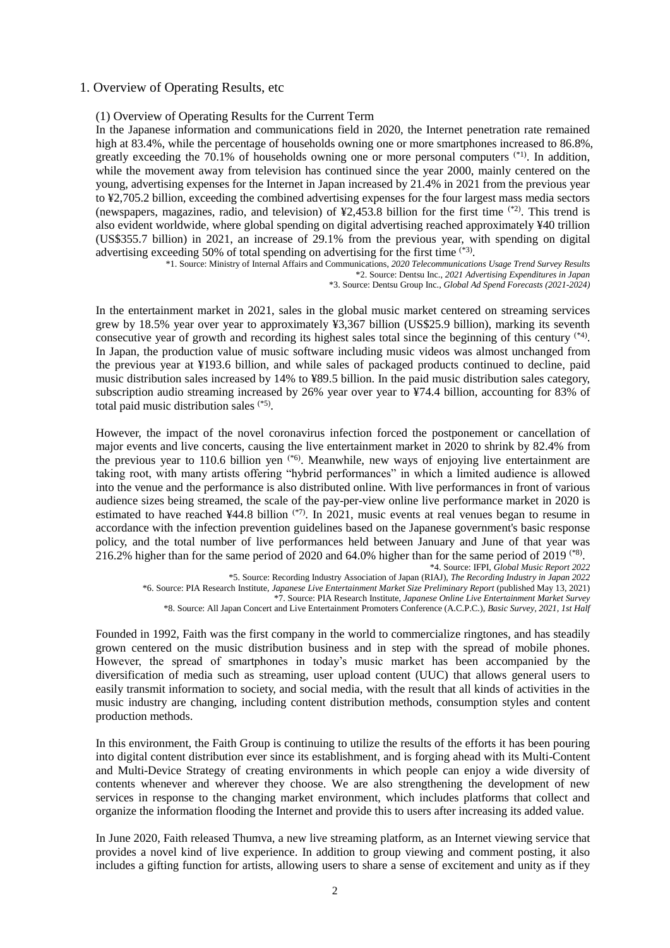# 1. Overview of Operating Results, etc

#### (1) Overview of Operating Results for the Current Term

In the Japanese information and communications field in 2020, the Internet penetration rate remained high at 83.4%, while the percentage of households owning one or more smartphones increased to 86.8%, greatly exceeding the 70.1% of households owning one or more personal computers <sup>(\*1)</sup>. In addition, while the movement away from television has continued since the year 2000, mainly centered on the young, advertising expenses for the Internet in Japan increased by 21.4% in 2021 from the previous year to ¥2,705.2 billion, exceeding the combined advertising expenses for the four largest mass media sectors (newspapers, magazines, radio, and television) of  $\frac{1}{2}2.453.8$  billion for the first time  $^{(*)2}$ . This trend is also evident worldwide, where global spending on digital advertising reached approximately ¥40 trillion (US\$355.7 billion) in 2021, an increase of 29.1% from the previous year, with spending on digital advertising exceeding 50% of total spending on advertising for the first time <sup>(\*3)</sup>.

\*1. Source: Ministry of Internal Affairs and Communications, *2020 Telecommunications Usage Trend Survey Results* \*2. Source: Dentsu Inc., *2021 Advertising Expenditures in Japan*

\*3. Source: Dentsu Group Inc., *Global Ad Spend Forecasts (2021-2024)*

In the entertainment market in 2021, sales in the global music market centered on streaming services grew by 18.5% year over year to approximately ¥3,367 billion (US\$25.9 billion), marking its seventh consecutive year of growth and recording its highest sales total since the beginning of this century (\*4) . In Japan, the production value of music software including music videos was almost unchanged from the previous year at ¥193.6 billion, and while sales of packaged products continued to decline, paid music distribution sales increased by 14% to ¥89.5 billion. In the paid music distribution sales category, subscription audio streaming increased by 26% year over year to ¥74.4 billion, accounting for 83% of total paid music distribution sales (\*5) .

However, the impact of the novel coronavirus infection forced the postponement or cancellation of major events and live concerts, causing the live entertainment market in 2020 to shrink by 82.4% from the previous year to 110.6 billion yen  $(*6)$ . Meanwhile, new ways of enjoying live entertainment are taking root, with many artists offering "hybrid performances" in which a limited audience is allowed into the venue and the performance is also distributed online. With live performances in front of various audience sizes being streamed, the scale of the pay-per-view online live performance market in 2020 is estimated to have reached ¥44.8 billion <sup>(\*7)</sup>. In 2021, music events at real venues began to resume in accordance with the infection prevention guidelines based on the Japanese government's basic response policy, and the total number of live performances held between January and June of that year was 216.2% higher than for the same period of 2020 and 64.0% higher than for the same period of 2019 (\*8) .

\*6. Source: PIA Research Institute, *Japanese Live Entertainment Market Size Preliminary Report* (published May 13, 2021)

Founded in 1992, Faith was the first company in the world to commercialize ringtones, and has steadily grown centered on the music distribution business and in step with the spread of mobile phones. However, the spread of smartphones in today's music market has been accompanied by the diversification of media such as streaming, user upload content (UUC) that allows general users to easily transmit information to society, and social media, with the result that all kinds of activities in the music industry are changing, including content distribution methods, consumption styles and content production methods.

In this environment, the Faith Group is continuing to utilize the results of the efforts it has been pouring into digital content distribution ever since its establishment, and is forging ahead with its Multi-Content and Multi-Device Strategy of creating environments in which people can enjoy a wide diversity of contents whenever and wherever they choose. We are also strengthening the development of new services in response to the changing market environment, which includes platforms that collect and organize the information flooding the Internet and provide this to users after increasing its added value.

In June 2020, Faith released Thumva, a new live streaming platform, as an Internet viewing service that provides a novel kind of live experience. In addition to group viewing and comment posting, it also includes a gifting function for artists, allowing users to share a sense of excitement and unity as if they

<sup>\*4.</sup> Source: IFPI, *Global Music Report 2022*

<sup>\*5.</sup> Source: Recording Industry Association of Japan (RIAJ), *The Recording Industry in Japan 2022*

<sup>\*7.</sup> Source: PIA Research Institute, *Japanese Online Live Entertainment Market Survey*

<sup>\*8.</sup> Source: All Japan Concert and Live Entertainment Promoters Conference (A.C.P.C.), *Basic Survey, 2021, 1st Half*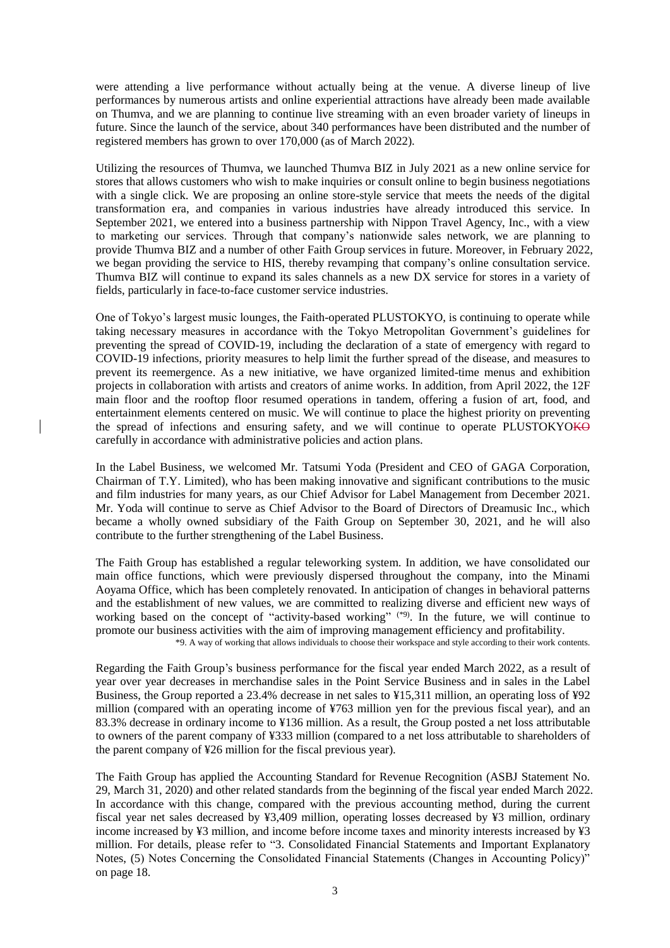were attending a live performance without actually being at the venue. A diverse lineup of live performances by numerous artists and online experiential attractions have already been made available on Thumva, and we are planning to continue live streaming with an even broader variety of lineups in future. Since the launch of the service, about 340 performances have been distributed and the number of registered members has grown to over 170,000 (as of March 2022).

Utilizing the resources of Thumva, we launched Thumva BIZ in July 2021 as a new online service for stores that allows customers who wish to make inquiries or consult online to begin business negotiations with a single click. We are proposing an online store-style service that meets the needs of the digital transformation era, and companies in various industries have already introduced this service. In September 2021, we entered into a business partnership with Nippon Travel Agency, Inc., with a view to marketing our services. Through that company's nationwide sales network, we are planning to provide Thumva BIZ and a number of other Faith Group services in future. Moreover, in February 2022, we began providing the service to HIS, thereby revamping that company's online consultation service. Thumva BIZ will continue to expand its sales channels as a new DX service for stores in a variety of fields, particularly in face-to-face customer service industries.

One of Tokyo's largest music lounges, the Faith-operated PLUSTOKYO, is continuing to operate while taking necessary measures in accordance with the Tokyo Metropolitan Government's guidelines for preventing the spread of COVID-19, including the declaration of a state of emergency with regard to COVID-19 infections, priority measures to help limit the further spread of the disease, and measures to prevent its reemergence. As a new initiative, we have organized limited-time menus and exhibition projects in collaboration with artists and creators of anime works. In addition, from April 2022, the 12F main floor and the rooftop floor resumed operations in tandem, offering a fusion of art, food, and entertainment elements centered on music. We will continue to place the highest priority on preventing the spread of infections and ensuring safety, and we will continue to operate PLUSTOKYOKO carefully in accordance with administrative policies and action plans.

In the Label Business, we welcomed Mr. Tatsumi Yoda (President and CEO of GAGA Corporation, Chairman of T.Y. Limited), who has been making innovative and significant contributions to the music and film industries for many years, as our Chief Advisor for Label Management from December 2021. Mr. Yoda will continue to serve as Chief Advisor to the Board of Directors of Dreamusic Inc., which became a wholly owned subsidiary of the Faith Group on September 30, 2021, and he will also contribute to the further strengthening of the Label Business.

The Faith Group has established a regular teleworking system. In addition, we have consolidated our main office functions, which were previously dispersed throughout the company, into the Minami Aoyama Office, which has been completely renovated. In anticipation of changes in behavioral patterns and the establishment of new values, we are committed to realizing diverse and efficient new ways of working based on the concept of "activity-based working" (\*9). In the future, we will continue to promote our business activities with the aim of improving management efficiency and profitability. \*9. A way of working that allows individuals to choose their workspace and style according to their work contents.

Regarding the Faith Group's business performance for the fiscal year ended March 2022, as a result of year over year decreases in merchandise sales in the Point Service Business and in sales in the Label Business, the Group reported a 23.4% decrease in net sales to ¥15,311 million, an operating loss of ¥92 million (compared with an operating income of ¥763 million yen for the previous fiscal year), and an 83.3% decrease in ordinary income to ¥136 million. As a result, the Group posted a net loss attributable to owners of the parent company of ¥333 million (compared to a net loss attributable to shareholders of the parent company of ¥26 million for the fiscal previous year).

The Faith Group has applied the Accounting Standard for Revenue Recognition (ASBJ Statement No. 29, March 31, 2020) and other related standards from the beginning of the fiscal year ended March 2022. In accordance with this change, compared with the previous accounting method, during the current fiscal year net sales decreased by ¥3,409 million, operating losses decreased by ¥3 million, ordinary income increased by ¥3 million, and income before income taxes and minority interests increased by ¥3 million. For details, please refer to "3. Consolidated Financial Statements and Important Explanatory Notes, (5) Notes Concerning the Consolidated Financial Statements (Changes in Accounting Policy)" on page 18.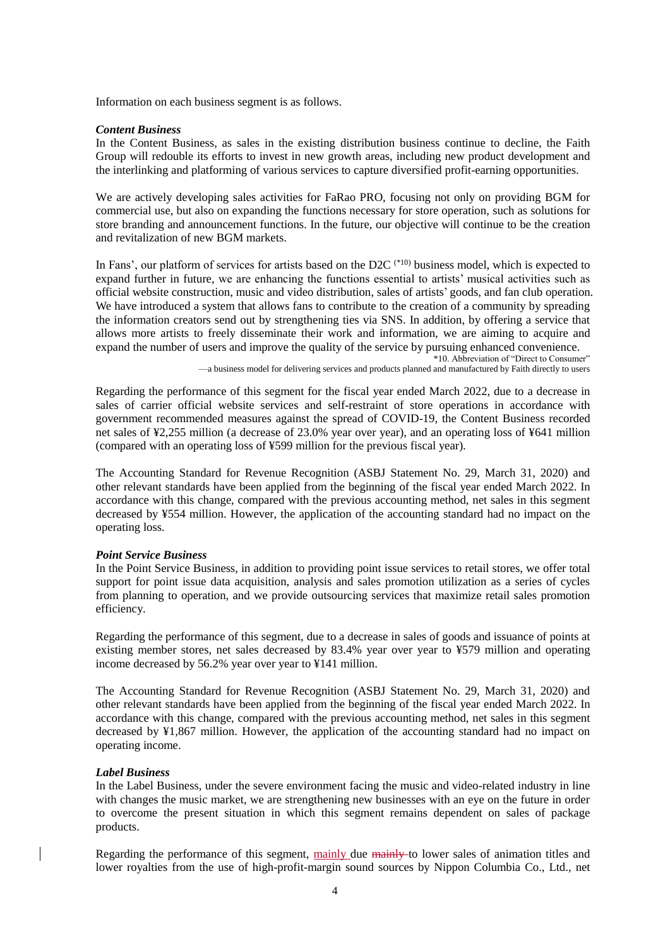Information on each business segment is as follows.

#### *Content Business*

In the Content Business, as sales in the existing distribution business continue to decline, the Faith Group will redouble its efforts to invest in new growth areas, including new product development and the interlinking and platforming of various services to capture diversified profit-earning opportunities.

We are actively developing sales activities for FaRao PRO, focusing not only on providing BGM for commercial use, but also on expanding the functions necessary for store operation, such as solutions for store branding and announcement functions. In the future, our objective will continue to be the creation and revitalization of new BGM markets.

In Fans', our platform of services for artists based on the D2C  $(10)$  business model, which is expected to expand further in future, we are enhancing the functions essential to artists' musical activities such as official website construction, music and video distribution, sales of artists' goods, and fan club operation. We have introduced a system that allows fans to contribute to the creation of a community by spreading the information creators send out by strengthening ties via SNS. In addition, by offering a service that allows more artists to freely disseminate their work and information, we are aiming to acquire and expand the number of users and improve the quality of the service by pursuing enhanced convenience. \*10. Abbreviation of "Direct to Consumer"

—a business model for delivering services and products planned and manufactured by Faith directly to users

Regarding the performance of this segment for the fiscal year ended March 2022, due to a decrease in sales of carrier official website services and self-restraint of store operations in accordance with government recommended measures against the spread of COVID-19, the Content Business recorded net sales of ¥2,255 million (a decrease of 23.0% year over year), and an operating loss of ¥641 million (compared with an operating loss of ¥599 million for the previous fiscal year).

The Accounting Standard for Revenue Recognition (ASBJ Statement No. 29, March 31, 2020) and other relevant standards have been applied from the beginning of the fiscal year ended March 2022. In accordance with this change, compared with the previous accounting method, net sales in this segment decreased by ¥554 million. However, the application of the accounting standard had no impact on the operating loss.

## *Point Service Business*

In the Point Service Business, in addition to providing point issue services to retail stores, we offer total support for point issue data acquisition, analysis and sales promotion utilization as a series of cycles from planning to operation, and we provide outsourcing services that maximize retail sales promotion efficiency.

Regarding the performance of this segment, due to a decrease in sales of goods and issuance of points at existing member stores, net sales decreased by 83.4% year over year to ¥579 million and operating income decreased by 56.2% year over year to ¥141 million.

The Accounting Standard for Revenue Recognition (ASBJ Statement No. 29, March 31, 2020) and other relevant standards have been applied from the beginning of the fiscal year ended March 2022. In accordance with this change, compared with the previous accounting method, net sales in this segment decreased by ¥1,867 million. However, the application of the accounting standard had no impact on operating income.

## *Label Business*

In the Label Business, under the severe environment facing the music and video-related industry in line with changes the music market, we are strengthening new businesses with an eye on the future in order to overcome the present situation in which this segment remains dependent on sales of package products.

Regarding the performance of this segment, mainly due mainly to lower sales of animation titles and lower royalties from the use of high-profit-margin sound sources by Nippon Columbia Co., Ltd., net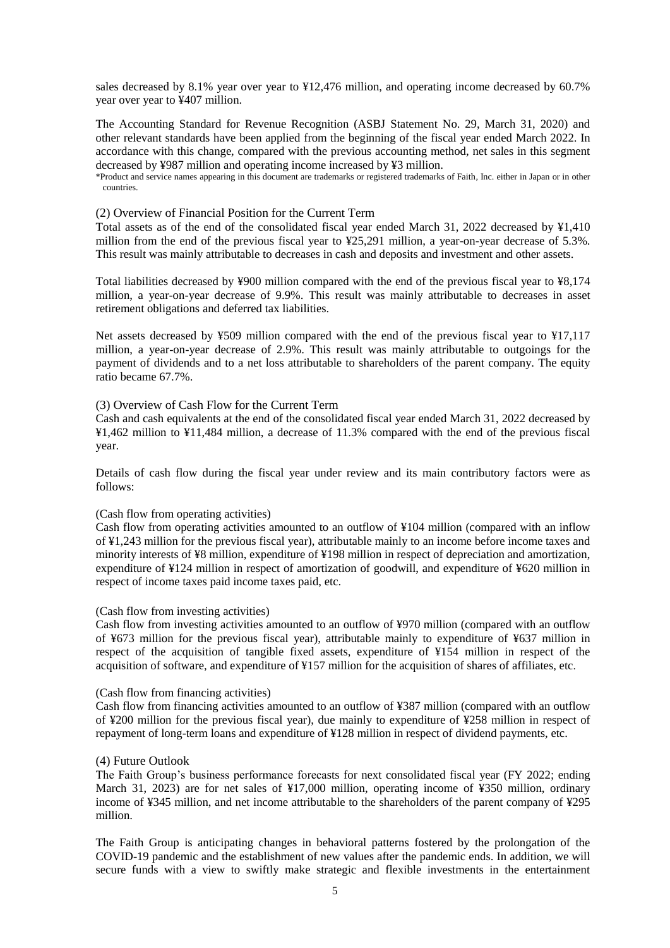sales decreased by 8.1% year over year to ¥12,476 million, and operating income decreased by 60.7% year over year to ¥407 million.

The Accounting Standard for Revenue Recognition (ASBJ Statement No. 29, March 31, 2020) and other relevant standards have been applied from the beginning of the fiscal year ended March 2022. In accordance with this change, compared with the previous accounting method, net sales in this segment decreased by ¥987 million and operating income increased by ¥3 million.

\*Product and service names appearing in this document are trademarks or registered trademarks of Faith, Inc. either in Japan or in other countries.

## (2) Overview of Financial Position for the Current Term

Total assets as of the end of the consolidated fiscal year ended March 31, 2022 decreased by ¥1,410 million from the end of the previous fiscal year to ¥25,291 million, a year-on-year decrease of 5.3%. This result was mainly attributable to decreases in cash and deposits and investment and other assets.

Total liabilities decreased by ¥900 million compared with the end of the previous fiscal year to ¥8,174 million, a year-on-year decrease of 9.9%. This result was mainly attributable to decreases in asset retirement obligations and deferred tax liabilities.

Net assets decreased by ¥509 million compared with the end of the previous fiscal year to ¥17,117 million, a year-on-year decrease of 2.9%. This result was mainly attributable to outgoings for the payment of dividends and to a net loss attributable to shareholders of the parent company. The equity ratio became 67.7%.

## (3) Overview of Cash Flow for the Current Term

Cash and cash equivalents at the end of the consolidated fiscal year ended March 31, 2022 decreased by ¥1,462 million to ¥11,484 million, a decrease of 11.3% compared with the end of the previous fiscal year.

Details of cash flow during the fiscal year under review and its main contributory factors were as follows:

#### (Cash flow from operating activities)

Cash flow from operating activities amounted to an outflow of ¥104 million (compared with an inflow of ¥1,243 million for the previous fiscal year), attributable mainly to an income before income taxes and minority interests of ¥8 million, expenditure of ¥198 million in respect of depreciation and amortization, expenditure of ¥124 million in respect of amortization of goodwill, and expenditure of ¥620 million in respect of income taxes paid income taxes paid, etc.

### (Cash flow from investing activities)

Cash flow from investing activities amounted to an outflow of ¥970 million (compared with an outflow of ¥673 million for the previous fiscal year), attributable mainly to expenditure of ¥637 million in respect of the acquisition of tangible fixed assets, expenditure of ¥154 million in respect of the acquisition of software, and expenditure of ¥157 million for the acquisition of shares of affiliates, etc.

### (Cash flow from financing activities)

Cash flow from financing activities amounted to an outflow of ¥387 million (compared with an outflow of ¥200 million for the previous fiscal year), due mainly to expenditure of ¥258 million in respect of repayment of long-term loans and expenditure of ¥128 million in respect of dividend payments, etc.

### (4) Future Outlook

The Faith Group's business performance forecasts for next consolidated fiscal year (FY 2022; ending March 31, 2023) are for net sales of ¥17,000 million, operating income of ¥350 million, ordinary income of ¥345 million, and net income attributable to the shareholders of the parent company of ¥295 million.

The Faith Group is anticipating changes in behavioral patterns fostered by the prolongation of the COVID-19 pandemic and the establishment of new values after the pandemic ends. In addition, we will secure funds with a view to swiftly make strategic and flexible investments in the entertainment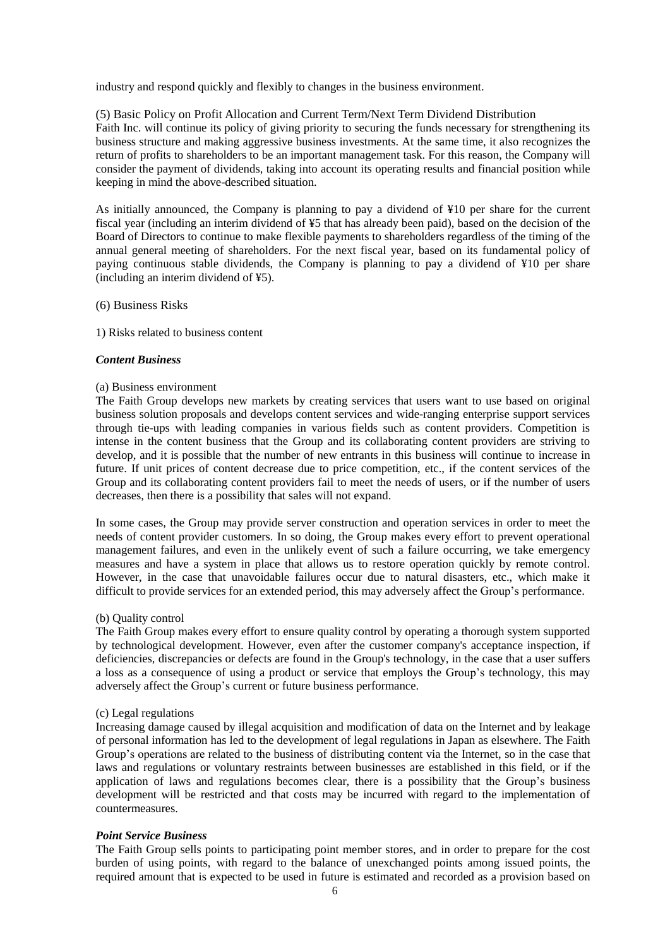industry and respond quickly and flexibly to changes in the business environment.

## (5) Basic Policy on Profit Allocation and Current Term/Next Term Dividend Distribution

Faith Inc. will continue its policy of giving priority to securing the funds necessary for strengthening its business structure and making aggressive business investments. At the same time, it also recognizes the return of profits to shareholders to be an important management task. For this reason, the Company will consider the payment of dividends, taking into account its operating results and financial position while keeping in mind the above-described situation.

As initially announced, the Company is planning to pay a dividend of ¥10 per share for the current fiscal year (including an interim dividend of ¥5 that has already been paid), based on the decision of the Board of Directors to continue to make flexible payments to shareholders regardless of the timing of the annual general meeting of shareholders. For the next fiscal year, based on its fundamental policy of paying continuous stable dividends, the Company is planning to pay a dividend of ¥10 per share (including an interim dividend of ¥5).

(6) Business Risks

## 1) Risks related to business content

#### *Content Business*

### (a) Business environment

The Faith Group develops new markets by creating services that users want to use based on original business solution proposals and develops content services and wide-ranging enterprise support services through tie-ups with leading companies in various fields such as content providers. Competition is intense in the content business that the Group and its collaborating content providers are striving to develop, and it is possible that the number of new entrants in this business will continue to increase in future. If unit prices of content decrease due to price competition, etc., if the content services of the Group and its collaborating content providers fail to meet the needs of users, or if the number of users decreases, then there is a possibility that sales will not expand.

In some cases, the Group may provide server construction and operation services in order to meet the needs of content provider customers. In so doing, the Group makes every effort to prevent operational management failures, and even in the unlikely event of such a failure occurring, we take emergency measures and have a system in place that allows us to restore operation quickly by remote control. However, in the case that unavoidable failures occur due to natural disasters, etc., which make it difficult to provide services for an extended period, this may adversely affect the Group's performance.

#### (b) Quality control

The Faith Group makes every effort to ensure quality control by operating a thorough system supported by technological development. However, even after the customer company's acceptance inspection, if deficiencies, discrepancies or defects are found in the Group's technology, in the case that a user suffers a loss as a consequence of using a product or service that employs the Group's technology, this may adversely affect the Group's current or future business performance.

#### (c) Legal regulations

Increasing damage caused by illegal acquisition and modification of data on the Internet and by leakage of personal information has led to the development of legal regulations in Japan as elsewhere. The Faith Group's operations are related to the business of distributing content via the Internet, so in the case that laws and regulations or voluntary restraints between businesses are established in this field, or if the application of laws and regulations becomes clear, there is a possibility that the Group's business development will be restricted and that costs may be incurred with regard to the implementation of countermeasures.

### *Point Service Business*

The Faith Group sells points to participating point member stores, and in order to prepare for the cost burden of using points, with regard to the balance of unexchanged points among issued points, the required amount that is expected to be used in future is estimated and recorded as a provision based on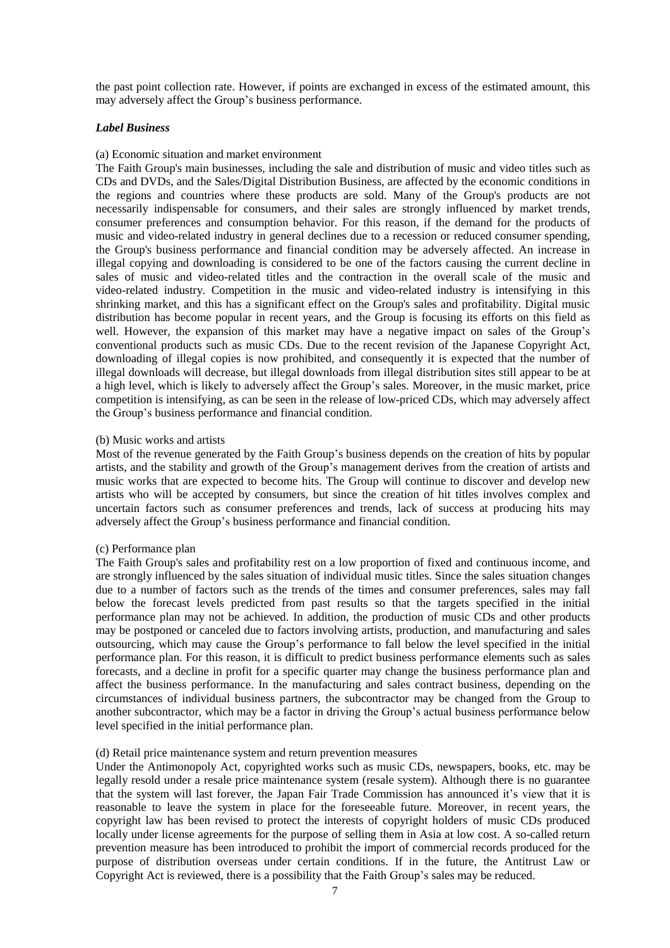the past point collection rate. However, if points are exchanged in excess of the estimated amount, this may adversely affect the Group's business performance.

## *Label Business*

## (a) Economic situation and market environment

The Faith Group's main businesses, including the sale and distribution of music and video titles such as CDs and DVDs, and the Sales/Digital Distribution Business, are affected by the economic conditions in the regions and countries where these products are sold. Many of the Group's products are not necessarily indispensable for consumers, and their sales are strongly influenced by market trends, consumer preferences and consumption behavior. For this reason, if the demand for the products of music and video-related industry in general declines due to a recession or reduced consumer spending, the Group's business performance and financial condition may be adversely affected. An increase in illegal copying and downloading is considered to be one of the factors causing the current decline in sales of music and video-related titles and the contraction in the overall scale of the music and video-related industry. Competition in the music and video-related industry is intensifying in this shrinking market, and this has a significant effect on the Group's sales and profitability. Digital music distribution has become popular in recent years, and the Group is focusing its efforts on this field as well. However, the expansion of this market may have a negative impact on sales of the Group's conventional products such as music CDs. Due to the recent revision of the Japanese Copyright Act, downloading of illegal copies is now prohibited, and consequently it is expected that the number of illegal downloads will decrease, but illegal downloads from illegal distribution sites still appear to be at a high level, which is likely to adversely affect the Group's sales. Moreover, in the music market, price competition is intensifying, as can be seen in the release of low-priced CDs, which may adversely affect the Group's business performance and financial condition.

## (b) Music works and artists

Most of the revenue generated by the Faith Group's business depends on the creation of hits by popular artists, and the stability and growth of the Group's management derives from the creation of artists and music works that are expected to become hits. The Group will continue to discover and develop new artists who will be accepted by consumers, but since the creation of hit titles involves complex and uncertain factors such as consumer preferences and trends, lack of success at producing hits may adversely affect the Group's business performance and financial condition.

### (c) Performance plan

The Faith Group's sales and profitability rest on a low proportion of fixed and continuous income, and are strongly influenced by the sales situation of individual music titles. Since the sales situation changes due to a number of factors such as the trends of the times and consumer preferences, sales may fall below the forecast levels predicted from past results so that the targets specified in the initial performance plan may not be achieved. In addition, the production of music CDs and other products may be postponed or canceled due to factors involving artists, production, and manufacturing and sales outsourcing, which may cause the Group's performance to fall below the level specified in the initial performance plan. For this reason, it is difficult to predict business performance elements such as sales forecasts, and a decline in profit for a specific quarter may change the business performance plan and affect the business performance. In the manufacturing and sales contract business, depending on the circumstances of individual business partners, the subcontractor may be changed from the Group to another subcontractor, which may be a factor in driving the Group's actual business performance below level specified in the initial performance plan.

## (d) Retail price maintenance system and return prevention measures

Under the Antimonopoly Act, copyrighted works such as music CDs, newspapers, books, etc. may be legally resold under a resale price maintenance system (resale system). Although there is no guarantee that the system will last forever, the Japan Fair Trade Commission has announced it's view that it is reasonable to leave the system in place for the foreseeable future. Moreover, in recent years, the copyright law has been revised to protect the interests of copyright holders of music CDs produced locally under license agreements for the purpose of selling them in Asia at low cost. A so-called return prevention measure has been introduced to prohibit the import of commercial records produced for the purpose of distribution overseas under certain conditions. If in the future, the Antitrust Law or Copyright Act is reviewed, there is a possibility that the Faith Group's sales may be reduced.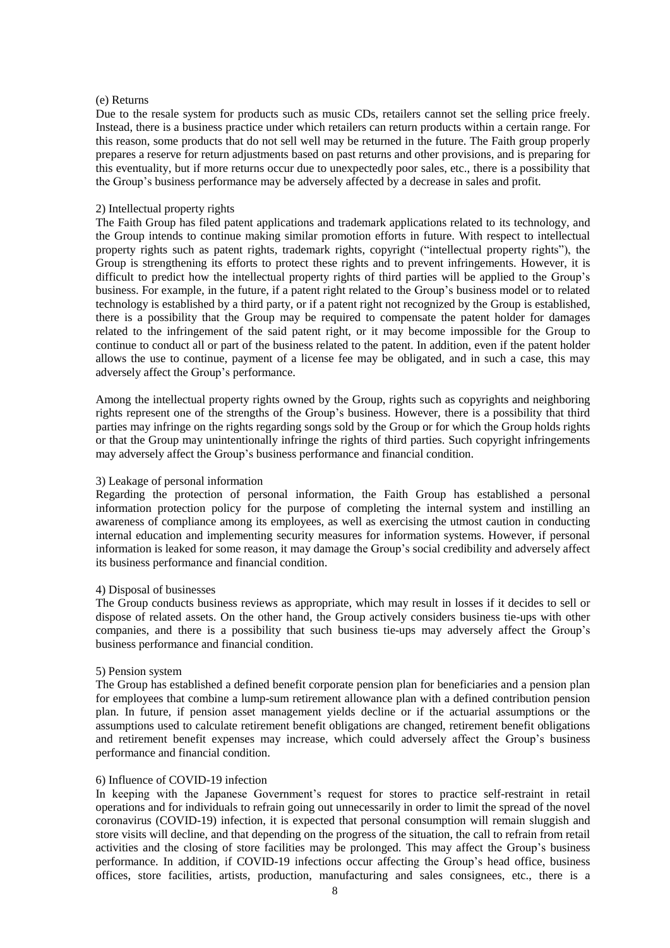## (e) Returns

Due to the resale system for products such as music CDs, retailers cannot set the selling price freely. Instead, there is a business practice under which retailers can return products within a certain range. For this reason, some products that do not sell well may be returned in the future. The Faith group properly prepares a reserve for return adjustments based on past returns and other provisions, and is preparing for this eventuality, but if more returns occur due to unexpectedly poor sales, etc., there is a possibility that the Group's business performance may be adversely affected by a decrease in sales and profit.

## 2) Intellectual property rights

The Faith Group has filed patent applications and trademark applications related to its technology, and the Group intends to continue making similar promotion efforts in future. With respect to intellectual property rights such as patent rights, trademark rights, copyright ("intellectual property rights"), the Group is strengthening its efforts to protect these rights and to prevent infringements. However, it is difficult to predict how the intellectual property rights of third parties will be applied to the Group's business. For example, in the future, if a patent right related to the Group's business model or to related technology is established by a third party, or if a patent right not recognized by the Group is established, there is a possibility that the Group may be required to compensate the patent holder for damages related to the infringement of the said patent right, or it may become impossible for the Group to continue to conduct all or part of the business related to the patent. In addition, even if the patent holder allows the use to continue, payment of a license fee may be obligated, and in such a case, this may adversely affect the Group's performance.

Among the intellectual property rights owned by the Group, rights such as copyrights and neighboring rights represent one of the strengths of the Group's business. However, there is a possibility that third parties may infringe on the rights regarding songs sold by the Group or for which the Group holds rights or that the Group may unintentionally infringe the rights of third parties. Such copyright infringements may adversely affect the Group's business performance and financial condition.

#### 3) Leakage of personal information

Regarding the protection of personal information, the Faith Group has established a personal information protection policy for the purpose of completing the internal system and instilling an awareness of compliance among its employees, as well as exercising the utmost caution in conducting internal education and implementing security measures for information systems. However, if personal information is leaked for some reason, it may damage the Group's social credibility and adversely affect its business performance and financial condition.

#### 4) Disposal of businesses

The Group conducts business reviews as appropriate, which may result in losses if it decides to sell or dispose of related assets. On the other hand, the Group actively considers business tie-ups with other companies, and there is a possibility that such business tie-ups may adversely affect the Group's business performance and financial condition.

#### 5) Pension system

The Group has established a defined benefit corporate pension plan for beneficiaries and a pension plan for employees that combine a lump-sum retirement allowance plan with a defined contribution pension plan. In future, if pension asset management yields decline or if the actuarial assumptions or the assumptions used to calculate retirement benefit obligations are changed, retirement benefit obligations and retirement benefit expenses may increase, which could adversely affect the Group's business performance and financial condition.

#### 6) Influence of COVID-19 infection

In keeping with the Japanese Government's request for stores to practice self-restraint in retail operations and for individuals to refrain going out unnecessarily in order to limit the spread of the novel coronavirus (COVID-19) infection, it is expected that personal consumption will remain sluggish and store visits will decline, and that depending on the progress of the situation, the call to refrain from retail activities and the closing of store facilities may be prolonged. This may affect the Group's business performance. In addition, if COVID-19 infections occur affecting the Group's head office, business offices, store facilities, artists, production, manufacturing and sales consignees, etc., there is a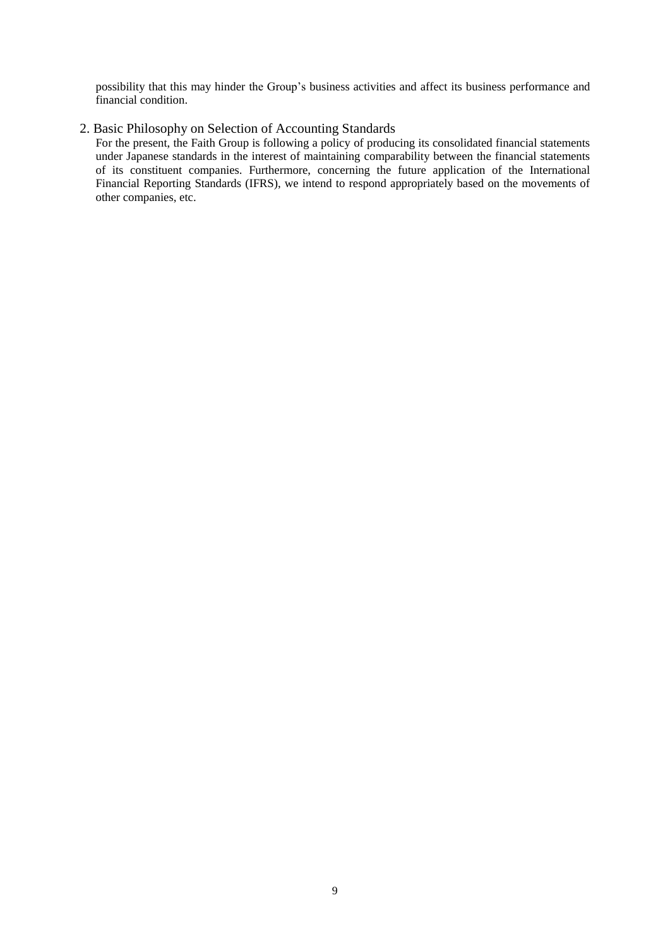possibility that this may hinder the Group's business activities and affect its business performance and financial condition.

# 2. Basic Philosophy on Selection of Accounting Standards

For the present, the Faith Group is following a policy of producing its consolidated financial statements under Japanese standards in the interest of maintaining comparability between the financial statements of its constituent companies. Furthermore, concerning the future application of the International Financial Reporting Standards (IFRS), we intend to respond appropriately based on the movements of other companies, etc.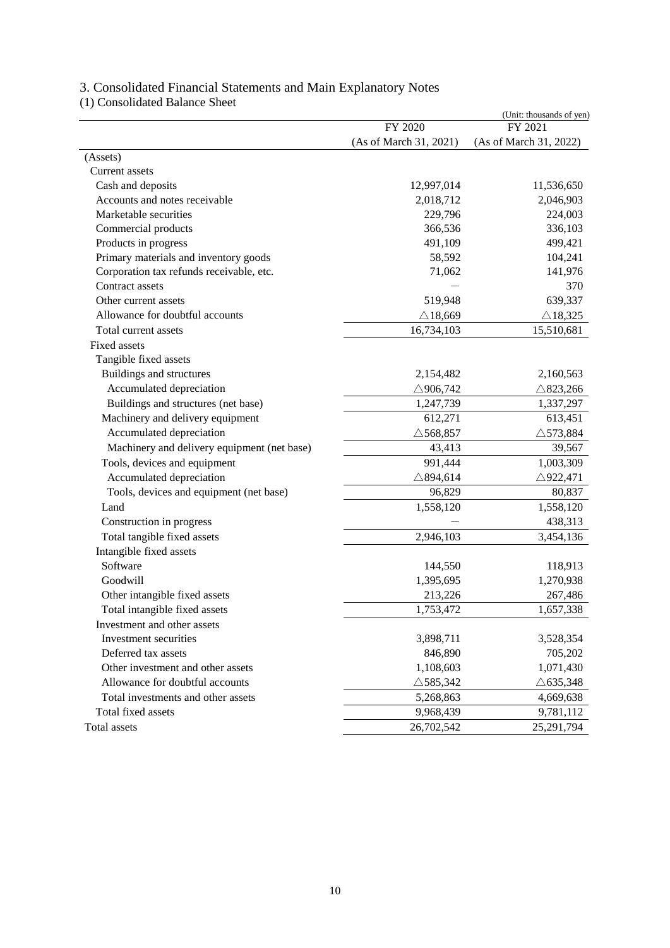| (1) Consolidated Dalance Sheet              |                        | (Unit: thousands of yen) |
|---------------------------------------------|------------------------|--------------------------|
|                                             | FY 2020                | FY 2021                  |
|                                             | (As of March 31, 2021) | (As of March 31, 2022)   |
| (Assets)                                    |                        |                          |
| Current assets                              |                        |                          |
| Cash and deposits                           | 12,997,014             | 11,536,650               |
| Accounts and notes receivable               | 2,018,712              | 2,046,903                |
| Marketable securities                       | 229,796                | 224,003                  |
| Commercial products                         | 366,536                | 336,103                  |
| Products in progress                        | 491,109                | 499,421                  |
| Primary materials and inventory goods       | 58,592                 | 104,241                  |
| Corporation tax refunds receivable, etc.    | 71,062                 | 141,976                  |
| Contract assets                             |                        | 370                      |
| Other current assets                        | 519,948                | 639,337                  |
| Allowance for doubtful accounts             | $\triangle$ 18,669     | $\triangle$ 18,325       |
| Total current assets                        | 16,734,103             | 15,510,681               |
| Fixed assets                                |                        |                          |
| Tangible fixed assets                       |                        |                          |
| Buildings and structures                    | 2,154,482              | 2,160,563                |
| Accumulated depreciation                    | $\triangle$ 906,742    | $\triangle$ 823,266      |
| Buildings and structures (net base)         | 1,247,739              | 1,337,297                |
| Machinery and delivery equipment            | 612,271                | 613,451                  |
| Accumulated depreciation                    | $\triangle$ 568,857    | $\triangle$ 573,884      |
| Machinery and delivery equipment (net base) | 43,413                 | 39,567                   |
| Tools, devices and equipment                | 991,444                | 1,003,309                |
| Accumulated depreciation                    | $\triangle$ 894,614    | $\triangle$ 922,471      |
| Tools, devices and equipment (net base)     | 96,829                 | 80,837                   |
| Land                                        | 1,558,120              | 1,558,120                |
| Construction in progress                    |                        | 438,313                  |
| Total tangible fixed assets                 | 2,946,103              | 3,454,136                |
| Intangible fixed assets                     |                        |                          |
| Software                                    | 144,550                | 118,913                  |
| Goodwill                                    | 1,395,695              | 1,270,938                |
| Other intangible fixed assets               | 213,226                | 267,486                  |
| Total intangible fixed assets               | 1,753,472              | 1,657,338                |
| Investment and other assets                 |                        |                          |
| Investment securities                       | 3,898,711              | 3,528,354                |
| Deferred tax assets                         | 846,890                | 705,202                  |
| Other investment and other assets           | 1,108,603              | 1,071,430                |
| Allowance for doubtful accounts             | $\triangle$ 585,342    | $\triangle$ 635,348      |
| Total investments and other assets          | 5,268,863              | 4,669,638                |
| Total fixed assets                          | 9,968,439              | 9,781,112                |
| Total assets                                | 26,702,542             | 25,291,794               |

# 3. Consolidated Financial Statements and Main Explanatory Notes

(1) Consolidated Balance Sheet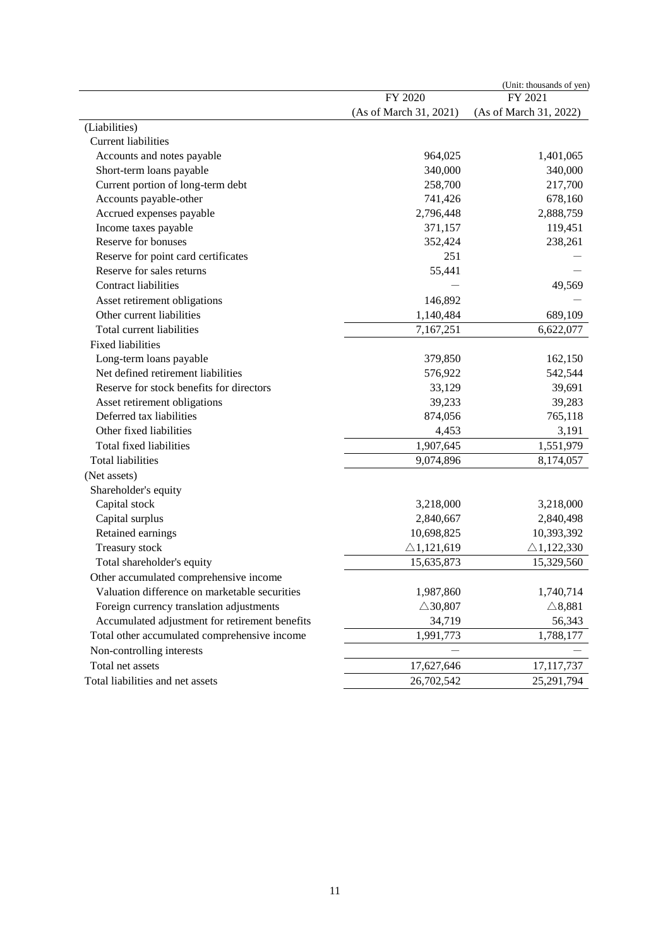|                                                |                        | (Unit: thousands of yen) |
|------------------------------------------------|------------------------|--------------------------|
|                                                | FY 2020                | FY 2021                  |
|                                                | (As of March 31, 2021) | (As of March 31, 2022)   |
| (Liabilities)                                  |                        |                          |
| Current liabilities                            |                        |                          |
| Accounts and notes payable                     | 964,025                | 1,401,065                |
| Short-term loans payable                       | 340,000                | 340,000                  |
| Current portion of long-term debt              | 258,700                | 217,700                  |
| Accounts payable-other                         | 741,426                | 678,160                  |
| Accrued expenses payable                       | 2,796,448              | 2,888,759                |
| Income taxes payable                           | 371,157                | 119,451                  |
| Reserve for bonuses                            | 352,424                | 238,261                  |
| Reserve for point card certificates            | 251                    |                          |
| Reserve for sales returns                      | 55,441                 |                          |
| <b>Contract liabilities</b>                    |                        | 49,569                   |
| Asset retirement obligations                   | 146,892                |                          |
| Other current liabilities                      | 1,140,484              | 689,109                  |
| Total current liabilities                      | 7,167,251              | 6,622,077                |
| <b>Fixed liabilities</b>                       |                        |                          |
| Long-term loans payable                        | 379,850                | 162,150                  |
| Net defined retirement liabilities             | 576,922                | 542,544                  |
| Reserve for stock benefits for directors       | 33,129                 | 39,691                   |
| Asset retirement obligations                   | 39,233                 | 39,283                   |
| Deferred tax liabilities                       | 874,056                | 765,118                  |
| Other fixed liabilities                        | 4,453                  | 3,191                    |
| Total fixed liabilities                        | 1,907,645              | 1,551,979                |
| <b>Total liabilities</b>                       | 9,074,896              | 8,174,057                |
| (Net assets)                                   |                        |                          |
| Shareholder's equity                           |                        |                          |
| Capital stock                                  | 3,218,000              | 3,218,000                |
| Capital surplus                                | 2,840,667              | 2,840,498                |
| Retained earnings                              | 10,698,825             | 10,393,392               |
| Treasury stock                                 | $\triangle$ 1,121,619  | $\triangle$ 1,122,330    |
| Total shareholder's equity                     | 15,635,873             | 15,329,560               |
| Other accumulated comprehensive income         |                        |                          |
| Valuation difference on marketable securities  | 1,987,860              | 1,740,714                |
| Foreign currency translation adjustments       | $\triangle$ 30,807     | $\triangle$ 8,881        |
| Accumulated adjustment for retirement benefits | 34,719                 | 56,343                   |
| Total other accumulated comprehensive income   | 1,991,773              | 1,788,177                |
| Non-controlling interests                      |                        |                          |
| Total net assets                               | 17,627,646             | 17, 117, 737             |
| Total liabilities and net assets               | 26,702,542             | 25,291,794               |
|                                                |                        |                          |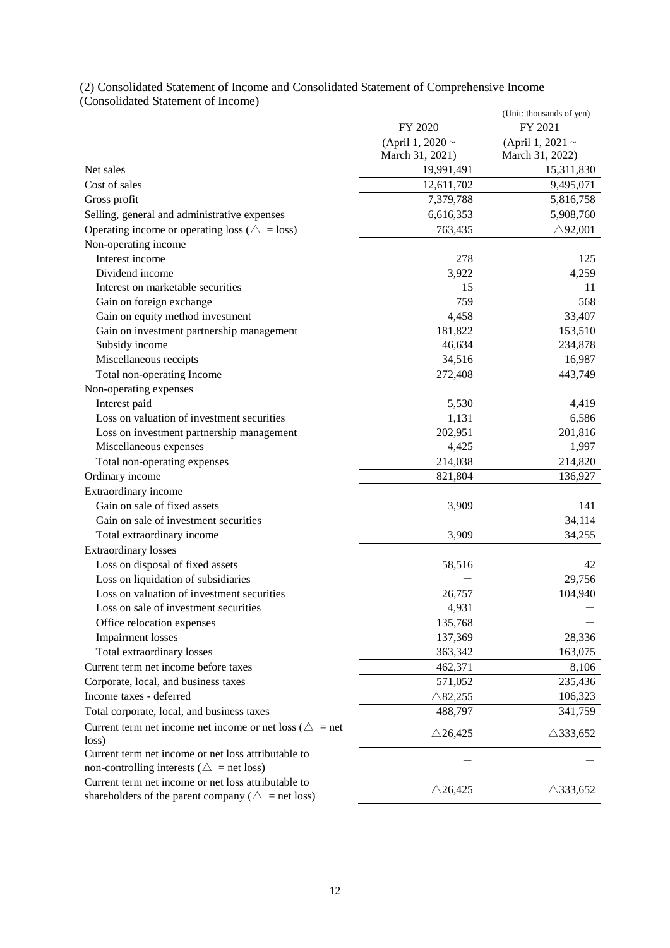|                                                                                                            |                    | (Unit: thousands of yen) |
|------------------------------------------------------------------------------------------------------------|--------------------|--------------------------|
|                                                                                                            | FY 2020            | FY 2021                  |
|                                                                                                            | (April 1, 2020 ~   | (April 1, 2021 ~         |
|                                                                                                            | March 31, 2021)    | March 31, 2022)          |
| Net sales                                                                                                  | 19,991,491         | 15,311,830               |
| Cost of sales                                                                                              | 12,611,702         | 9,495,071                |
| Gross profit                                                                                               | 7,379,788          | 5,816,758                |
| Selling, general and administrative expenses                                                               | 6,616,353          | 5,908,760                |
| Operating income or operating loss ( $\triangle$ = loss)                                                   | 763,435            | $\triangle$ 92,001       |
| Non-operating income                                                                                       |                    |                          |
| Interest income                                                                                            | 278                | 125                      |
| Dividend income                                                                                            | 3,922              | 4,259                    |
| Interest on marketable securities                                                                          | 15                 | 11                       |
| Gain on foreign exchange                                                                                   | 759                | 568                      |
| Gain on equity method investment                                                                           | 4,458              | 33,407                   |
| Gain on investment partnership management                                                                  | 181,822            | 153,510                  |
| Subsidy income                                                                                             | 46,634             | 234,878                  |
| Miscellaneous receipts                                                                                     | 34,516             | 16,987                   |
| Total non-operating Income                                                                                 | 272,408            | 443,749                  |
| Non-operating expenses                                                                                     |                    |                          |
| Interest paid                                                                                              | 5,530              | 4,419                    |
| Loss on valuation of investment securities                                                                 | 1,131              | 6,586                    |
| Loss on investment partnership management                                                                  | 202,951            | 201,816                  |
| Miscellaneous expenses                                                                                     | 4,425              | 1,997                    |
| Total non-operating expenses                                                                               | 214,038            | 214,820                  |
| Ordinary income                                                                                            | 821,804            | 136,927                  |
| Extraordinary income                                                                                       |                    |                          |
| Gain on sale of fixed assets                                                                               | 3,909              | 141                      |
| Gain on sale of investment securities                                                                      |                    | 34,114                   |
| Total extraordinary income                                                                                 | 3,909              | 34,255                   |
| <b>Extraordinary losses</b>                                                                                |                    |                          |
| Loss on disposal of fixed assets                                                                           | 58,516             | 42                       |
| Loss on liquidation of subsidiaries                                                                        |                    | 29,756                   |
| Loss on valuation of investment securities                                                                 | 26,757             | 104,940                  |
| Loss on sale of investment securities                                                                      | 4,931              |                          |
| Office relocation expenses                                                                                 | 135,768            |                          |
| <b>Impairment</b> losses                                                                                   | 137,369            | 28,336                   |
| Total extraordinary losses                                                                                 | 363,342            | 163,075                  |
| Current term net income before taxes                                                                       | 462,371            | 8,106                    |
| Corporate, local, and business taxes                                                                       | 571,052            | 235,436                  |
| Income taxes - deferred                                                                                    | $\triangle$ 82,255 | 106,323                  |
| Total corporate, local, and business taxes                                                                 | 488,797            | 341,759                  |
| Current term net income net income or net loss ( $\triangle$ = net<br>loss)                                | $\triangle$ 26,425 | $\triangle$ 333,652      |
| Current term net income or net loss attributable to                                                        |                    |                          |
| non-controlling interests ( $\triangle$ = net loss)<br>Current term net income or net loss attributable to | $\triangle$ 26,425 | $\triangle$ 333,652      |
| shareholders of the parent company ( $\triangle$ = net loss)                                               |                    |                          |

# (2) Consolidated Statement of Income and Consolidated Statement of Comprehensive Income (Consolidated Statement of Income)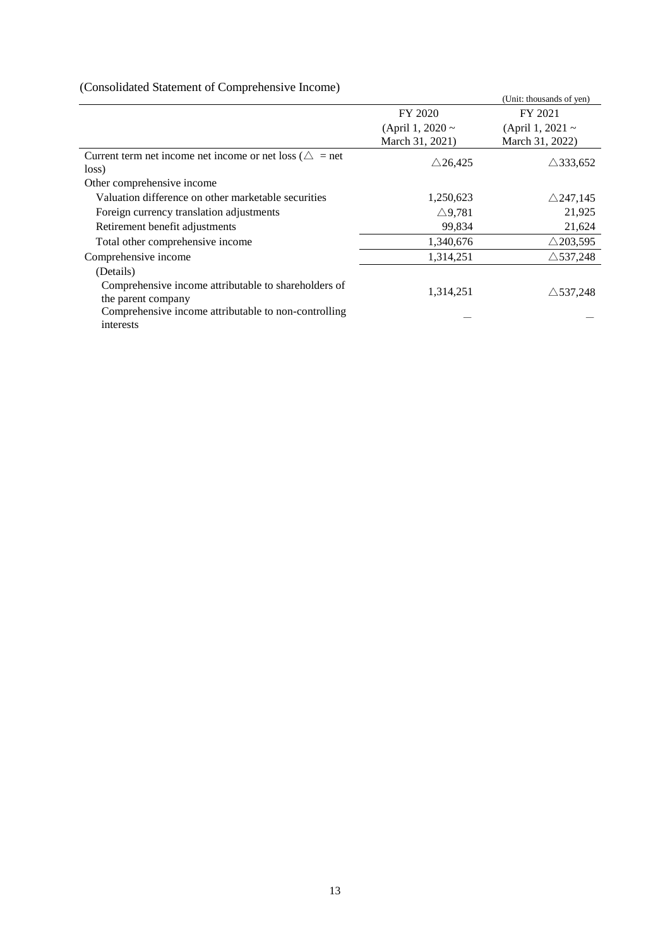# (Consolidated Statement of Comprehensive Income)

|                                                                    |                       | (Unit: thousands of yen) |
|--------------------------------------------------------------------|-----------------------|--------------------------|
|                                                                    | FY 2020               | FY 2021                  |
|                                                                    | (April 1, 2020 $\sim$ | (April 1, 2021 $\sim$    |
|                                                                    | March 31, 2021)       | March 31, 2022)          |
| Current term net income net income or net loss ( $\triangle$ = net | $\triangle$ 26,425    | $\triangle$ 333,652      |
| loss)                                                              |                       |                          |
| Other comprehensive income                                         |                       |                          |
| Valuation difference on other marketable securities                | 1,250,623             | $\triangle$ 247,145      |
| Foreign currency translation adjustments                           | $\triangle$ 9,781     | 21,925                   |
| Retirement benefit adjustments                                     | 99,834                | 21,624                   |
| Total other comprehensive income                                   | 1,340,676             | $\triangle$ 203,595      |
| Comprehensive income                                               | 1,314,251             | $\triangle$ 537,248      |
| (Details)                                                          |                       |                          |
| Comprehensive income attributable to shareholders of               | 1,314,251             | $\triangle$ 537,248      |
| the parent company                                                 |                       |                          |
| Comprehensive income attributable to non-controlling               |                       |                          |
| interests                                                          |                       |                          |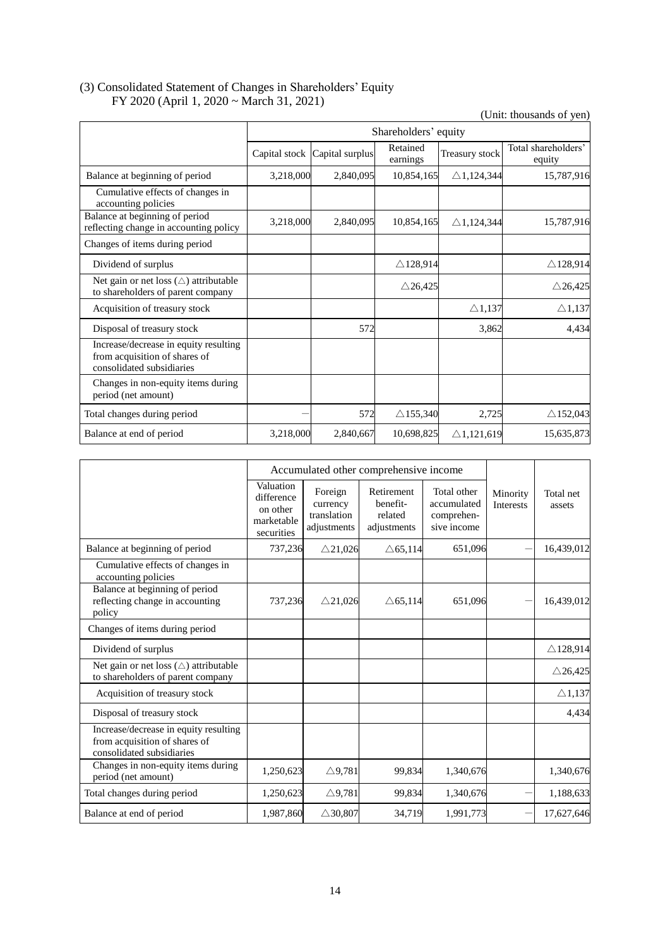# (3) Consolidated Statement of Changes in Shareholders' Equity FY 2020 (April 1, 2020 ~ March 31, 2021)

(Unit: thousands of yen)

|                                                                                                     |           |                               | Shareholders' equity |                       |                               |
|-----------------------------------------------------------------------------------------------------|-----------|-------------------------------|----------------------|-----------------------|-------------------------------|
|                                                                                                     |           | Capital stock Capital surplus | Retained<br>earnings | Treasury stock        | Total shareholders'<br>equity |
| Balance at beginning of period                                                                      | 3,218,000 | 2,840,095                     | 10,854,165           | $\triangle$ 1,124,344 | 15,787,916                    |
| Cumulative effects of changes in<br>accounting policies                                             |           |                               |                      |                       |                               |
| Balance at beginning of period<br>reflecting change in accounting policy                            | 3,218,000 | 2,840,095                     | 10,854,165           | $\triangle$ 1,124,344 | 15,787,916                    |
| Changes of items during period                                                                      |           |                               |                      |                       |                               |
| Dividend of surplus                                                                                 |           |                               | $\triangle$ 128,914  |                       | $\triangle$ 128,914           |
| Net gain or net loss $(\triangle)$ attributable<br>to shareholders of parent company                |           |                               | $\triangle$ 26,425   |                       | $\triangle$ 26,425            |
| Acquisition of treasury stock                                                                       |           |                               |                      | $\triangle$ 1,137     | $\triangle$ 1,137             |
| Disposal of treasury stock                                                                          |           | 572                           |                      | 3,862                 | 4,434                         |
| Increase/decrease in equity resulting<br>from acquisition of shares of<br>consolidated subsidiaries |           |                               |                      |                       |                               |
| Changes in non-equity items during<br>period (net amount)                                           |           |                               |                      |                       |                               |
| Total changes during period                                                                         |           | 572                           | $\triangle$ 155,340  | 2,725                 | $\triangle$ 152,043           |
| Balance at end of period                                                                            | 3,218,000 | 2,840,667                     | 10,698,825           | $\triangle$ 1,121,619 | 15,635,873                    |

|                                                                                                     |                                                                 | Accumulated other comprehensive income            |                                                  |                                                         |                              |                     |
|-----------------------------------------------------------------------------------------------------|-----------------------------------------------------------------|---------------------------------------------------|--------------------------------------------------|---------------------------------------------------------|------------------------------|---------------------|
|                                                                                                     | Valuation<br>difference<br>on other<br>marketable<br>securities | Foreign<br>currency<br>translation<br>adjustments | Retirement<br>benefit-<br>related<br>adjustments | Total other<br>accumulated<br>comprehen-<br>sive income | Minority<br><b>Interests</b> | Total net<br>assets |
| Balance at beginning of period                                                                      | 737,236                                                         | $\triangle$ 21,026                                | $\triangle$ 65,114                               | 651,096                                                 |                              | 16,439,012          |
| Cumulative effects of changes in<br>accounting policies                                             |                                                                 |                                                   |                                                  |                                                         |                              |                     |
| Balance at beginning of period<br>reflecting change in accounting<br>policy                         | 737,236                                                         | $\triangle$ 21,026                                | $\triangle$ 65,114                               | 651,096                                                 |                              | 16,439,012          |
| Changes of items during period                                                                      |                                                                 |                                                   |                                                  |                                                         |                              |                     |
| Dividend of surplus                                                                                 |                                                                 |                                                   |                                                  |                                                         |                              | $\triangle$ 128,914 |
| Net gain or net loss $(\triangle)$ attributable<br>to shareholders of parent company                |                                                                 |                                                   |                                                  |                                                         |                              | $\triangle$ 26,425  |
| Acquisition of treasury stock                                                                       |                                                                 |                                                   |                                                  |                                                         |                              | $\triangle$ 1,137   |
| Disposal of treasury stock                                                                          |                                                                 |                                                   |                                                  |                                                         |                              | 4,434               |
| Increase/decrease in equity resulting<br>from acquisition of shares of<br>consolidated subsidiaries |                                                                 |                                                   |                                                  |                                                         |                              |                     |
| Changes in non-equity items during<br>period (net amount)                                           | 1,250,623                                                       | $\triangle$ 9,781                                 | 99,834                                           | 1,340,676                                               |                              | 1,340,676           |
| Total changes during period                                                                         | 1,250,623                                                       | $\triangle$ 9,781                                 | 99,834                                           | 1,340,676                                               |                              | 1,188,633           |
| Balance at end of period                                                                            | 1,987,860                                                       | $\triangle$ 30,807                                | 34,719                                           | 1,991,773                                               |                              | 17,627,646          |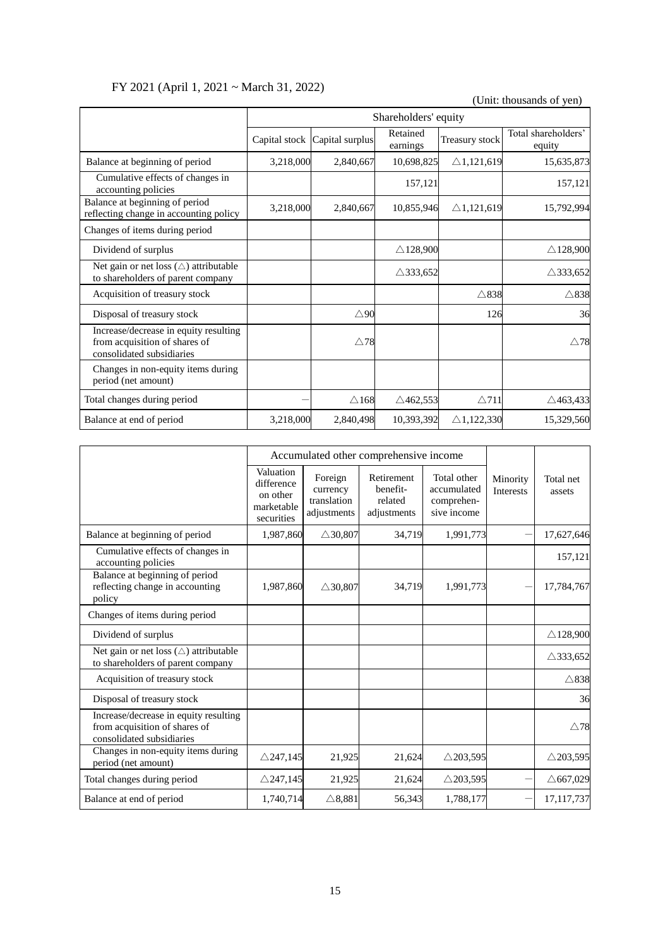# FY 2021 (April 1, 2021 ~ March 31, 2022)

(Unit: thousands of yen) Shareholders' equity Capital stock Capital surplus Retained Treasury stock Total shareholders' equity Balance at beginning of period 13,218,000 2,840,667 10,698,825 △1,121,619 15,635,873 Cumulative effects of changes in Lumuianve enects of changes in<br>accounting policies 157,121 157,121 Balance at beginning of period Balance at beginning of period<br>reflecting change in accounting policy  $\begin{array}{|l} 3,218,000 \end{array}$  2,840,667 10,855,946 21,121,619 15,792,994 Changes of items during period Dividend of surplus  $\triangle 128,900$   $\triangle 128,900$   $\triangle 128,900$ Net gain or net loss (△) attributable to shareholders of parent company  $\triangle$ 333,652  $\triangle$  333,652  $\triangle$  333,652  $\triangle$  333,652  $\triangle$  333,652  $\triangle$  333,652  $\triangle$  333,652  $\triangle$  333,652  $\triangle$  333,652  $\triangle$  333,652  $\triangle$  333,652  $\triangle$  333,652  $\triangle$  333,652  $\triangle$  333,652  $\triangle$  3 Acquisition of treasury stock  $\triangle$ 838  $\triangle$ 838  $\triangle$ 838  $\triangle$ 838 Disposal of treasury stock  $\triangle 90$  126  $126$ Increase/decrease in equity resulting from acquisition of shares of consolidated subsidiaries  $\triangle$ 78  $\triangle$  78 Changes in non-equity items during period (net amount) Total changes during period  $\Delta 168$   $\Delta 462,553$   $\Delta 711$   $\Delta 463,433$ Balance at end of period 3,218,000 2,840,498 10,393,392 △1,122,330 15,329,560

|                                                                                                     |                                                                 | Accumulated other comprehensive income            |                                                  |                                                         |                              |                     |
|-----------------------------------------------------------------------------------------------------|-----------------------------------------------------------------|---------------------------------------------------|--------------------------------------------------|---------------------------------------------------------|------------------------------|---------------------|
|                                                                                                     | Valuation<br>difference<br>on other<br>marketable<br>securities | Foreign<br>currency<br>translation<br>adjustments | Retirement<br>benefit-<br>related<br>adjustments | Total other<br>accumulated<br>comprehen-<br>sive income | Minority<br><b>Interests</b> | Total net<br>assets |
| Balance at beginning of period                                                                      | 1,987,860                                                       | $\triangle$ 30,807                                | 34,719                                           | 1,991,773                                               |                              | 17,627,646          |
| Cumulative effects of changes in<br>accounting policies                                             |                                                                 |                                                   |                                                  |                                                         |                              | 157,121             |
| Balance at beginning of period<br>reflecting change in accounting<br>policy                         | 1,987,860                                                       | $\triangle$ 30,807                                | 34,719                                           | 1,991,773                                               |                              | 17,784,767          |
| Changes of items during period                                                                      |                                                                 |                                                   |                                                  |                                                         |                              |                     |
| Dividend of surplus                                                                                 |                                                                 |                                                   |                                                  |                                                         |                              | $\triangle$ 128,900 |
| Net gain or net loss $(\triangle)$ attributable<br>to shareholders of parent company                |                                                                 |                                                   |                                                  |                                                         |                              | $\triangle$ 333,652 |
| Acquisition of treasury stock                                                                       |                                                                 |                                                   |                                                  |                                                         |                              | $\triangle$ 838     |
| Disposal of treasury stock                                                                          |                                                                 |                                                   |                                                  |                                                         |                              | 36                  |
| Increase/decrease in equity resulting<br>from acquisition of shares of<br>consolidated subsidiaries |                                                                 |                                                   |                                                  |                                                         |                              | $\triangle$ 78      |
| Changes in non-equity items during<br>period (net amount)                                           | $\triangle$ 247,145                                             | 21,925                                            | 21,624                                           | $\triangle$ 203,595                                     |                              | $\triangle$ 203,595 |
| Total changes during period                                                                         | $\triangle$ 247,145                                             | 21,925                                            | 21,624                                           | $\triangle$ 203,595                                     |                              | $\triangle$ 667,029 |
| Balance at end of period                                                                            | 1,740,714                                                       | $\triangle$ 8,881                                 | 56,343                                           | 1,788,177                                               |                              | 17,117,737          |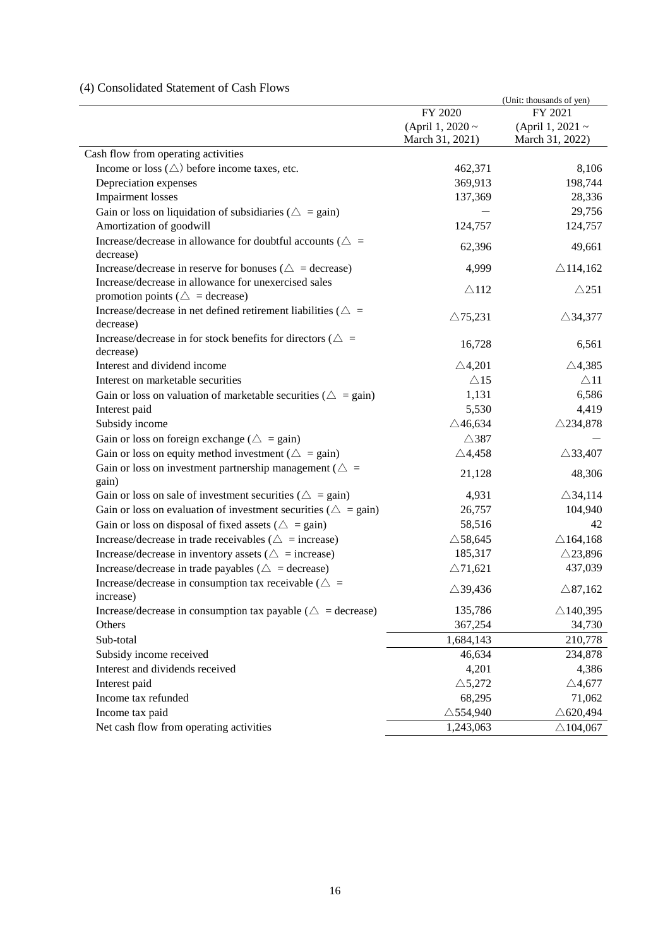# (4) Consolidated Statement of Cash Flows

|                                                                           |                     | (Unit: thousands of yen) |
|---------------------------------------------------------------------------|---------------------|--------------------------|
|                                                                           | FY 2020             | FY 2021                  |
|                                                                           | (April 1, 2020 ~    | (April 1, 2021 $\sim$    |
|                                                                           | March 31, 2021)     | March 31, 2022)          |
| Cash flow from operating activities                                       |                     |                          |
| Income or loss $(\triangle)$ before income taxes, etc.                    | 462,371             | 8,106                    |
| Depreciation expenses                                                     | 369,913             | 198,744                  |
| <b>Impairment</b> losses                                                  | 137,369             | 28,336                   |
| Gain or loss on liquidation of subsidiaries ( $\triangle$ = gain)         |                     | 29,756                   |
| Amortization of goodwill                                                  | 124,757             | 124,757                  |
| Increase/decrease in allowance for doubtful accounts ( $\triangle$ =      | 62,396              | 49,661                   |
| decrease)                                                                 |                     |                          |
| Increase/decrease in reserve for bonuses ( $\triangle$ = decrease)        | 4,999               | $\triangle$ 114,162      |
| Increase/decrease in allowance for unexercised sales                      | $\triangle$ 112     | $\triangle$ 251          |
| promotion points ( $\triangle$ = decrease)                                |                     |                          |
| Increase/decrease in net defined retirement liabilities ( $\triangle$ =   | $\triangle$ 75,231  | $\triangle$ 34,377       |
| decrease)                                                                 |                     |                          |
| Increase/decrease in for stock benefits for directors ( $\triangle$ =     | 16,728              | 6,561                    |
| decrease)                                                                 |                     |                          |
| Interest and dividend income                                              | $\triangle$ 4,201   | $\triangle$ 4,385        |
| Interest on marketable securities                                         | $\triangle$ 15      | $\triangle$ 11           |
| Gain or loss on valuation of marketable securities ( $\triangle$ = gain)  | 1,131               | 6,586                    |
| Interest paid                                                             | 5,530               | 4,419                    |
| Subsidy income                                                            | $\triangle$ 46,634  | $\triangle$ 234,878      |
| Gain or loss on foreign exchange ( $\triangle$ = gain)                    | $\triangle$ 387     |                          |
| Gain or loss on equity method investment ( $\triangle$ = gain)            | $\triangle$ 4,458   | $\triangle$ 33,407       |
| Gain or loss on investment partnership management ( $\triangle$ =         | 21,128              | 48,306                   |
| gain)                                                                     |                     |                          |
| Gain or loss on sale of investment securities ( $\triangle$ = gain)       | 4,931               | $\triangle$ 34,114       |
| Gain or loss on evaluation of investment securities ( $\triangle$ = gain) | 26,757              | 104,940                  |
| Gain or loss on disposal of fixed assets ( $\triangle$ = gain)            | 58,516              | 42                       |
| Increase/decrease in trade receivables ( $\triangle$ = increase)          | $\triangle$ 58,645  | $\triangle$ 164,168      |
| Increase/decrease in inventory assets ( $\triangle$ = increase)           | 185,317             | $\triangle$ 23,896       |
| Increase/decrease in trade payables ( $\triangle$ = decrease)             | $\triangle$ 71,621  | 437,039                  |
| Increase/decrease in consumption tax receivable ( $\triangle$ =           |                     |                          |
| increase)                                                                 | $\triangle$ 39,436  | $\triangle$ 87,162       |
| Increase/decrease in consumption tax payable ( $\triangle$ = decrease)    | 135,786             | $\triangle$ 140,395      |
| Others                                                                    | 367,254             | 34,730                   |
| Sub-total                                                                 | 1,684,143           | 210,778                  |
| Subsidy income received                                                   | 46,634              | 234,878                  |
| Interest and dividends received                                           | 4,201               | 4,386                    |
| Interest paid                                                             | $\triangle$ 5,272   | $\triangle$ 4,677        |
| Income tax refunded                                                       | 68,295              | 71,062                   |
| Income tax paid                                                           | $\triangle$ 554,940 | $\triangle$ 620,494      |
| Net cash flow from operating activities                                   | 1,243,063           | $\triangle$ 104,067      |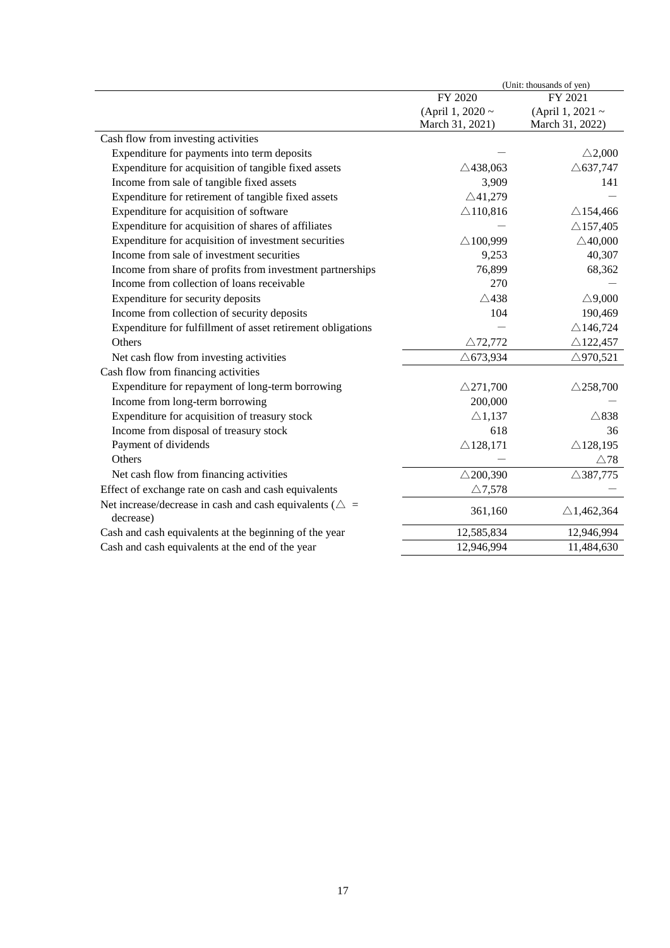|                                                                    | (Unit: thousands of yen) |                       |  |  |  |  |
|--------------------------------------------------------------------|--------------------------|-----------------------|--|--|--|--|
|                                                                    | FY 2020                  | FY 2021               |  |  |  |  |
|                                                                    | (April 1, 2020 ~         | (April 1, 2021 ~      |  |  |  |  |
|                                                                    | March 31, 2021)          | March 31, 2022)       |  |  |  |  |
| Cash flow from investing activities                                |                          |                       |  |  |  |  |
| Expenditure for payments into term deposits                        |                          | $\triangle$ 2,000     |  |  |  |  |
| Expenditure for acquisition of tangible fixed assets               | $\triangle$ 438,063      | $\triangle$ 637,747   |  |  |  |  |
| Income from sale of tangible fixed assets                          | 3,909                    | 141                   |  |  |  |  |
| Expenditure for retirement of tangible fixed assets                | $\triangle$ 41,279       |                       |  |  |  |  |
| Expenditure for acquisition of software                            | $\triangle$ 110,816      | $\triangle$ 154,466   |  |  |  |  |
| Expenditure for acquisition of shares of affiliates                |                          | $\triangle$ 157,405   |  |  |  |  |
| Expenditure for acquisition of investment securities               | $\triangle$ 100,999      | $\triangle$ 40,000    |  |  |  |  |
| Income from sale of investment securities                          | 9,253                    | 40,307                |  |  |  |  |
| Income from share of profits from investment partnerships          | 76,899                   | 68,362                |  |  |  |  |
| Income from collection of loans receivable                         | 270                      |                       |  |  |  |  |
| Expenditure for security deposits                                  | $\triangle$ 438          | $\triangle$ 9,000     |  |  |  |  |
| Income from collection of security deposits                        | 104                      | 190,469               |  |  |  |  |
| Expenditure for fulfillment of asset retirement obligations        |                          | $\triangle$ 146,724   |  |  |  |  |
| Others                                                             | $\triangle$ 72,772       | $\triangle$ 122,457   |  |  |  |  |
| Net cash flow from investing activities                            | $\triangle$ 673,934      | $\triangle$ 970,521   |  |  |  |  |
| Cash flow from financing activities                                |                          |                       |  |  |  |  |
| Expenditure for repayment of long-term borrowing                   | $\triangle$ 271,700      | $\triangle$ 258,700   |  |  |  |  |
| Income from long-term borrowing                                    | 200,000                  |                       |  |  |  |  |
| Expenditure for acquisition of treasury stock                      | $\triangle$ 1,137        | $\triangle$ 838       |  |  |  |  |
| Income from disposal of treasury stock                             | 618                      | 36                    |  |  |  |  |
| Payment of dividends                                               | $\triangle$ 128,171      | $\triangle$ 128,195   |  |  |  |  |
| Others                                                             |                          | $\triangle 78$        |  |  |  |  |
| Net cash flow from financing activities                            | $\triangle$ 200,390      | $\triangle$ 387,775   |  |  |  |  |
| Effect of exchange rate on cash and cash equivalents               | $\triangle$ 7,578        |                       |  |  |  |  |
| Net increase/decrease in cash and cash equivalents ( $\triangle$ = |                          |                       |  |  |  |  |
| decrease)                                                          | 361,160                  | $\triangle$ 1,462,364 |  |  |  |  |
| Cash and cash equivalents at the beginning of the year             | 12,585,834               | 12,946,994            |  |  |  |  |
| Cash and cash equivalents at the end of the year                   | 12,946,994               | 11,484,630            |  |  |  |  |
|                                                                    |                          |                       |  |  |  |  |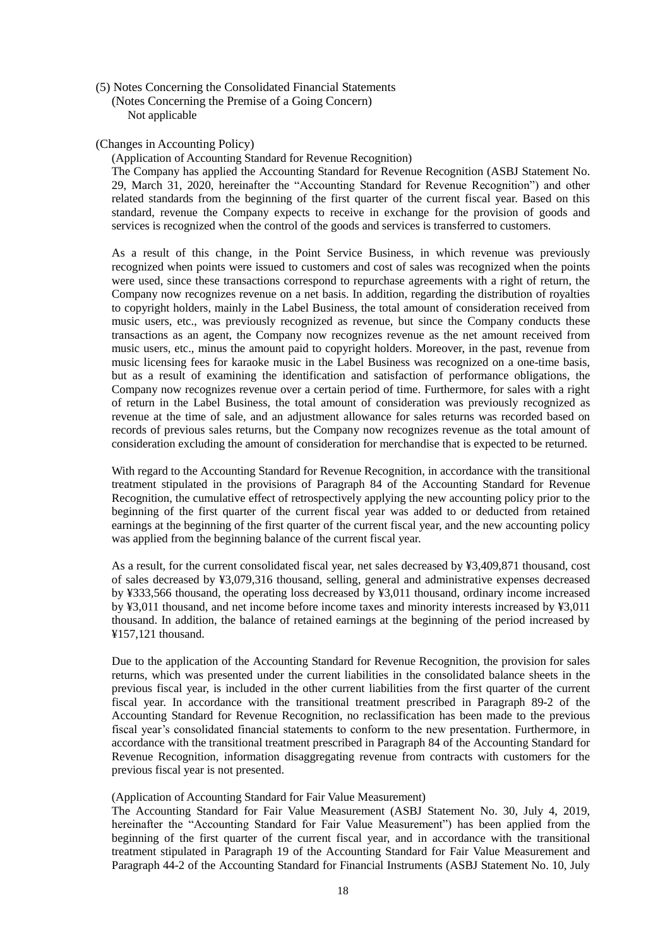(5) Notes Concerning the Consolidated Financial Statements (Notes Concerning the Premise of a Going Concern) Not applicable

# (Changes in Accounting Policy)

(Application of Accounting Standard for Revenue Recognition)

The Company has applied the Accounting Standard for Revenue Recognition (ASBJ Statement No. 29, March 31, 2020, hereinafter the "Accounting Standard for Revenue Recognition") and other related standards from the beginning of the first quarter of the current fiscal year. Based on this standard, revenue the Company expects to receive in exchange for the provision of goods and services is recognized when the control of the goods and services is transferred to customers.

As a result of this change, in the Point Service Business, in which revenue was previously recognized when points were issued to customers and cost of sales was recognized when the points were used, since these transactions correspond to repurchase agreements with a right of return, the Company now recognizes revenue on a net basis. In addition, regarding the distribution of royalties to copyright holders, mainly in the Label Business, the total amount of consideration received from music users, etc., was previously recognized as revenue, but since the Company conducts these transactions as an agent, the Company now recognizes revenue as the net amount received from music users, etc., minus the amount paid to copyright holders. Moreover, in the past, revenue from music licensing fees for karaoke music in the Label Business was recognized on a one-time basis, but as a result of examining the identification and satisfaction of performance obligations, the Company now recognizes revenue over a certain period of time. Furthermore, for sales with a right of return in the Label Business, the total amount of consideration was previously recognized as revenue at the time of sale, and an adjustment allowance for sales returns was recorded based on records of previous sales returns, but the Company now recognizes revenue as the total amount of consideration excluding the amount of consideration for merchandise that is expected to be returned.

With regard to the Accounting Standard for Revenue Recognition, in accordance with the transitional treatment stipulated in the provisions of Paragraph 84 of the Accounting Standard for Revenue Recognition, the cumulative effect of retrospectively applying the new accounting policy prior to the beginning of the first quarter of the current fiscal year was added to or deducted from retained earnings at the beginning of the first quarter of the current fiscal year, and the new accounting policy was applied from the beginning balance of the current fiscal year.

As a result, for the current consolidated fiscal year, net sales decreased by ¥3,409,871 thousand, cost of sales decreased by ¥3,079,316 thousand, selling, general and administrative expenses decreased by ¥333,566 thousand, the operating loss decreased by ¥3,011 thousand, ordinary income increased by ¥3,011 thousand, and net income before income taxes and minority interests increased by ¥3,011 thousand. In addition, the balance of retained earnings at the beginning of the period increased by ¥157,121 thousand.

Due to the application of the Accounting Standard for Revenue Recognition, the provision for sales returns, which was presented under the current liabilities in the consolidated balance sheets in the previous fiscal year, is included in the other current liabilities from the first quarter of the current fiscal year. In accordance with the transitional treatment prescribed in Paragraph 89-2 of the Accounting Standard for Revenue Recognition, no reclassification has been made to the previous fiscal year's consolidated financial statements to conform to the new presentation. Furthermore, in accordance with the transitional treatment prescribed in Paragraph 84 of the Accounting Standard for Revenue Recognition, information disaggregating revenue from contracts with customers for the previous fiscal year is not presented.

# (Application of Accounting Standard for Fair Value Measurement)

The Accounting Standard for Fair Value Measurement (ASBJ Statement No. 30, July 4, 2019, hereinafter the "Accounting Standard for Fair Value Measurement") has been applied from the beginning of the first quarter of the current fiscal year, and in accordance with the transitional treatment stipulated in Paragraph 19 of the Accounting Standard for Fair Value Measurement and Paragraph 44-2 of the Accounting Standard for Financial Instruments (ASBJ Statement No. 10, July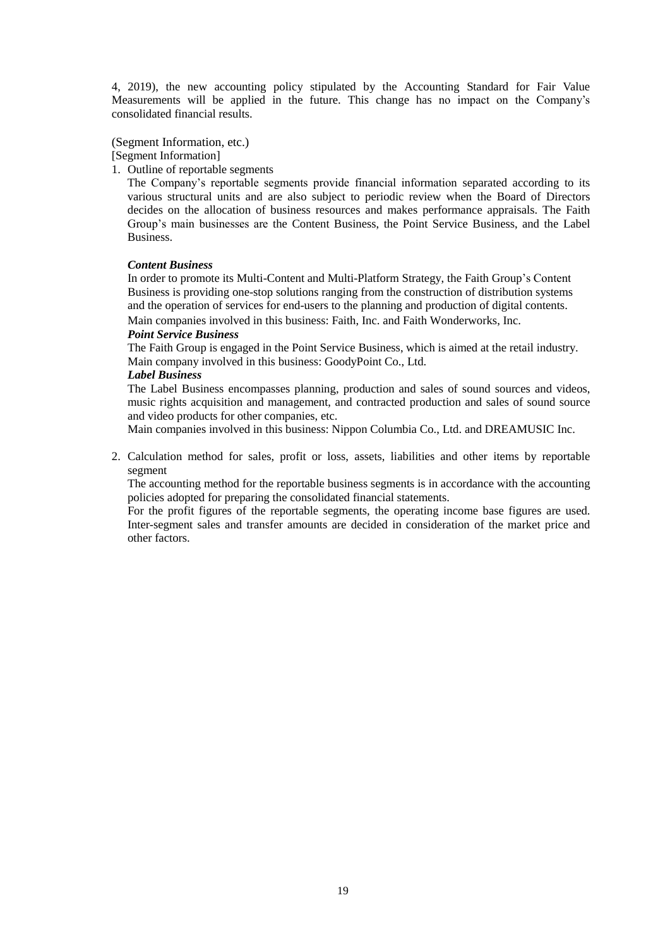4, 2019), the new accounting policy stipulated by the Accounting Standard for Fair Value Measurements will be applied in the future. This change has no impact on the Company's consolidated financial results.

(Segment Information, etc.)

[Segment Information]

1. Outline of reportable segments

The Company's reportable segments provide financial information separated according to its various structural units and are also subject to periodic review when the Board of Directors decides on the allocation of business resources and makes performance appraisals. The Faith Group's main businesses are the Content Business, the Point Service Business, and the Label Business.

# *Content Business*

In order to promote its Multi-Content and Multi-Platform Strategy, the Faith Group's Content Business is providing one-stop solutions ranging from the construction of distribution systems and the operation of services for end-users to the planning and production of digital contents.

Main companies involved in this business: Faith, Inc. and Faith Wonderworks, Inc.

## *Point Service Business*

The Faith Group is engaged in the Point Service Business, which is aimed at the retail industry. Main company involved in this business: GoodyPoint Co., Ltd.

## *Label Business*

The Label Business encompasses planning, production and sales of sound sources and videos, music rights acquisition and management, and contracted production and sales of sound source and video products for other companies, etc.

Main companies involved in this business: Nippon Columbia Co., Ltd. and DREAMUSIC Inc.

2. Calculation method for sales, profit or loss, assets, liabilities and other items by reportable segment

The accounting method for the reportable business segments is in accordance with the accounting policies adopted for preparing the consolidated financial statements.

For the profit figures of the reportable segments, the operating income base figures are used. Inter-segment sales and transfer amounts are decided in consideration of the market price and other factors.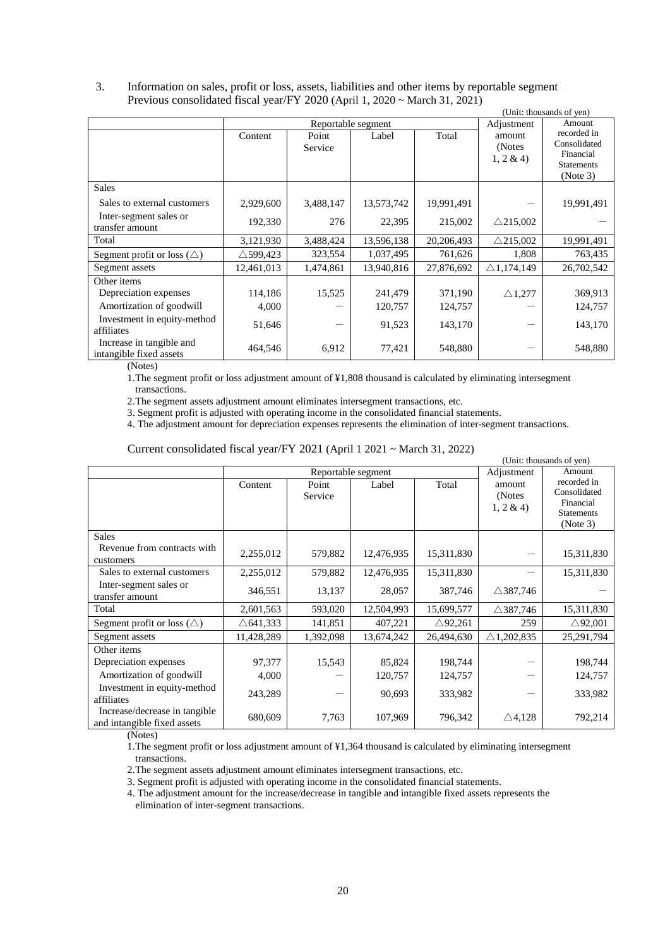# 3. Information on sales, profit or loss, assets, liabilities and other items by reportable segment Previous consolidated fiscal year/FY 2020 (April 1, 2020 ~ March 31, 2021)

| (Unit: thousands of yen)                            |                     |                    |            |            |                               |                                                                           |  |  |  |
|-----------------------------------------------------|---------------------|--------------------|------------|------------|-------------------------------|---------------------------------------------------------------------------|--|--|--|
|                                                     |                     | Reportable segment |            |            | Adjustment                    | Amount                                                                    |  |  |  |
|                                                     | Content             | Point<br>Service   | Label      | Total      | amount<br>(Notes)<br>1, 2 & 4 | recorded in<br>Consolidated<br>Financial<br><b>Statements</b><br>(Note 3) |  |  |  |
| <b>Sales</b>                                        |                     |                    |            |            |                               |                                                                           |  |  |  |
| Sales to external customers                         | 2,929,600           | 3,488,147          | 13,573,742 | 19,991,491 |                               | 19,991,491                                                                |  |  |  |
| Inter-segment sales or<br>transfer amount           | 192,330             | 276                | 22,395     | 215,002    | $\triangle$ 215,002           |                                                                           |  |  |  |
| Total                                               | 3,121,930           | 3,488,424          | 13,596,138 | 20,206,493 | $\triangle$ 215,002           | 19,991,491                                                                |  |  |  |
| Segment profit or loss $(\triangle)$                | $\triangle$ 599,423 | 323,554            | 1,037,495  | 761,626    | 1,808                         | 763,435                                                                   |  |  |  |
| Segment assets                                      | 12,461,013          | 1,474,861          | 13,940,816 | 27,876,692 | $\triangle$ 1,174,149         | 26,702,542                                                                |  |  |  |
| Other items                                         |                     |                    |            |            |                               |                                                                           |  |  |  |
| Depreciation expenses                               | 114,186             | 15,525             | 241,479    | 371,190    | $\triangle$ 1,277             | 369,913                                                                   |  |  |  |
| Amortization of goodwill                            | 4,000               |                    | 120,757    | 124,757    |                               | 124,757                                                                   |  |  |  |
| Investment in equity-method<br>affiliates           | 51,646              |                    | 91,523     | 143,170    |                               | 143,170                                                                   |  |  |  |
| Increase in tangible and<br>intangible fixed assets | 464,546             | 6,912              | 77,421     | 548,880    |                               | 548,880                                                                   |  |  |  |

(Notes)

1.The segment profit or loss adjustment amount of ¥1,808 thousand is calculated by eliminating intersegment transactions.

2.The segment assets adjustment amount eliminates intersegment transactions, etc.

3. Segment profit is adjusted with operating income in the consolidated financial statements.

4. The adjustment amount for depreciation expenses represents the elimination of inter-segment transactions.

|                                                              |                     |                    |            |                    |                                  | (Unit: thousands of yen)                                                  |
|--------------------------------------------------------------|---------------------|--------------------|------------|--------------------|----------------------------------|---------------------------------------------------------------------------|
|                                                              |                     | Reportable segment |            |                    | Adjustment                       | Amount                                                                    |
|                                                              | Content             | Point<br>Service   | Label      | Total              | amount<br>(Notes<br>$1, 2 \& 4)$ | recorded in<br>Consolidated<br>Financial<br><b>Statements</b><br>(Note 3) |
| <b>Sales</b>                                                 |                     |                    |            |                    |                                  |                                                                           |
| Revenue from contracts with<br>customers                     | 2,255,012           | 579,882            | 12,476,935 | 15,311,830         |                                  | 15,311,830                                                                |
| Sales to external customers                                  | 2,255,012           | 579,882            | 12,476,935 | 15,311,830         |                                  | 15,311,830                                                                |
| Inter-segment sales or<br>transfer amount                    | 346,551             | 13,137             | 28,057     | 387,746            | $\triangle$ 387,746              |                                                                           |
| Total                                                        | 2,601,563           | 593,020            | 12,504,993 | 15,699,577         | $\triangle$ 387,746              | 15,311,830                                                                |
| Segment profit or loss $(\triangle)$                         | $\triangle$ 641,333 | 141,851            | 407,221    | $\triangle$ 92,261 | 259                              | $\triangle$ 92,001                                                        |
| Segment assets                                               | 11,428,289          | 1,392,098          | 13,674,242 | 26,494,630         | $\triangle$ 1,202,835            | 25,291,794                                                                |
| Other items                                                  |                     |                    |            |                    |                                  |                                                                           |
| Depreciation expenses                                        | 97,377              | 15,543             | 85,824     | 198,744            |                                  | 198,744                                                                   |
| Amortization of goodwill                                     | 4,000               |                    | 120,757    | 124,757            |                                  | 124,757                                                                   |
| Investment in equity-method<br>affiliates                    | 243,289             |                    | 90,693     | 333,982            |                                  | 333,982                                                                   |
| Increase/decrease in tangible<br>and intangible fixed assets | 680,609             | 7,763              | 107,969    | 796,342            | $\triangle$ 4,128                | 792,214                                                                   |

# Current consolidated fiscal year/FY 2021 (April 1 2021 ~ March 31, 2022)

(Notes)

1.The segment profit or loss adjustment amount of ¥1,364 thousand is calculated by eliminating intersegment transactions.

2.The segment assets adjustment amount eliminates intersegment transactions, etc.

3. Segment profit is adjusted with operating income in the consolidated financial statements.

4. The adjustment amount for the increase/decrease in tangible and intangible fixed assets represents the elimination of inter-segment transactions.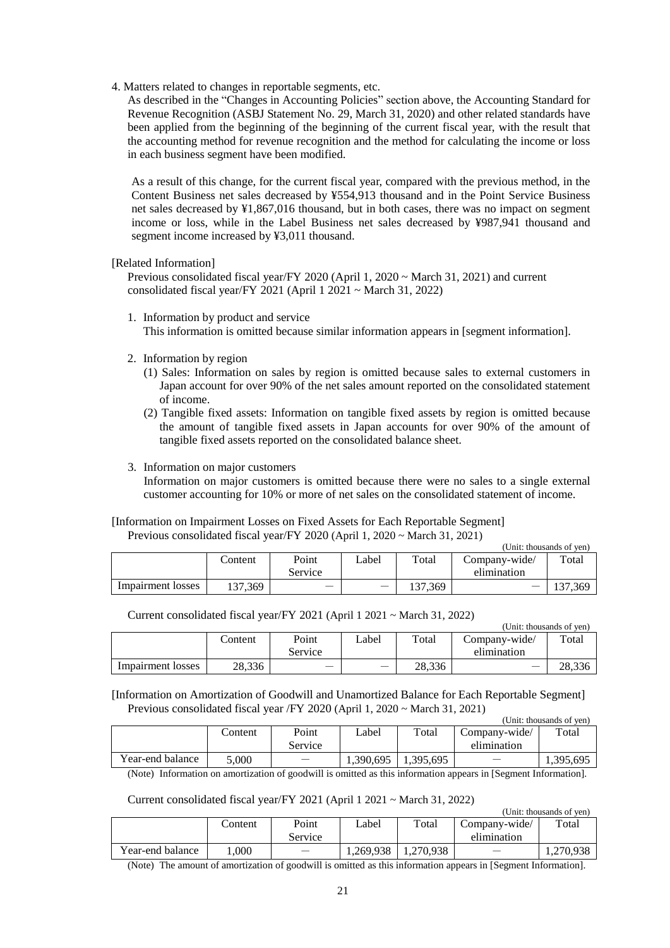4. Matters related to changes in reportable segments, etc.

As described in the "Changes in Accounting Policies" section above, the Accounting Standard for Revenue Recognition (ASBJ Statement No. 29, March 31, 2020) and other related standards have been applied from the beginning of the beginning of the current fiscal year, with the result that the accounting method for revenue recognition and the method for calculating the income or loss in each business segment have been modified.

As a result of this change, for the current fiscal year, compared with the previous method, in the Content Business net sales decreased by ¥554,913 thousand and in the Point Service Business net sales decreased by ¥1,867,016 thousand, but in both cases, there was no impact on segment income or loss, while in the Label Business net sales decreased by ¥987,941 thousand and segment income increased by ¥3,011 thousand.

[Related Information]

Previous consolidated fiscal year/FY 2020 (April 1, 2020 ~ March 31, 2021) and current consolidated fiscal year/FY 2021 (April 1 2021 ~ March 31, 2022)

- 1. Information by product and service This information is omitted because similar information appears in [segment information].
- 2. Information by region
	- (1) Sales: Information on sales by region is omitted because sales to external customers in Japan account for over 90% of the net sales amount reported on the consolidated statement of income.
	- (2) Tangible fixed assets: Information on tangible fixed assets by region is omitted because the amount of tangible fixed assets in Japan accounts for over 90% of the amount of tangible fixed assets reported on the consolidated balance sheet.
- 3. Information on major customers

Information on major customers is omitted because there were no sales to a single external customer accounting for 10% or more of net sales on the consolidated statement of income.

[Information on Impairment Losses on Fixed Assets for Each Reportable Segment] Previous consolidated fiscal year/FY 2020 (April 1, 2020 ~ March 31, 2021)

Current consolidated fiscal year/FY 2021 (April 1 2021 ~ March 31, 2022)

|                   |         |         |       |         |               | (Unit: thousands of yen) |
|-------------------|---------|---------|-------|---------|---------------|--------------------------|
|                   | Content | Point   | ∟abel | Total   | Company-wide/ | Total                    |
|                   |         | Service |       |         | elimination   |                          |
| Impairment losses | 137,369 | _       |       | 137,369 |               | 137.369                  |

|                   |         |                  |        |        | тони: пюизаниз от уент       |        |
|-------------------|---------|------------------|--------|--------|------------------------------|--------|
|                   | Content | Point<br>Service | '_abel | Total  | Company-wide/<br>elimination | Total  |
| Impairment losses | 28.336  |                  |        | 28.336 |                              | 28.336 |
|                   |         |                  |        |        |                              |        |

[Information on Amortization of Goodwill and Unamortized Balance for Each Reportable Segment] Previous consolidated fiscal year /FY 2020 (April 1, 2020 ~ March 31, 2021)

|                  |         |         |           |          |               | (Unit: thousands of yen) |
|------------------|---------|---------|-----------|----------|---------------|--------------------------|
|                  | Content | Point   | Label     | Total    | Company-wide/ | Total                    |
|                  |         | Service |           |          | elimination   |                          |
| Year-end balance | 5.000   |         | 1,390,695 | .395,695 |               | 1,395,695                |

(Note) Information on amortization of goodwill is omitted as this information appears in [Segment Information].

Current consolidated fiscal year/FY 2021 (April 1 2021 ~ March 31, 2022)

(Unit: thousands of yen)

 $(T_{\text{in}})$  the thousands of  $\epsilon$ 

|                  | content_ | Point   | ∟abel     | Total     | Company-wide/ | Total     |
|------------------|----------|---------|-----------|-----------|---------------|-----------|
|                  |          | Service |           |           | elimination   |           |
| Year-end balance | .000     |         | 1.269.938 | 1.270.938 |               | 1.270.938 |

(Note) The amount of amortization of goodwill is omitted as this information appears in [Segment Information].